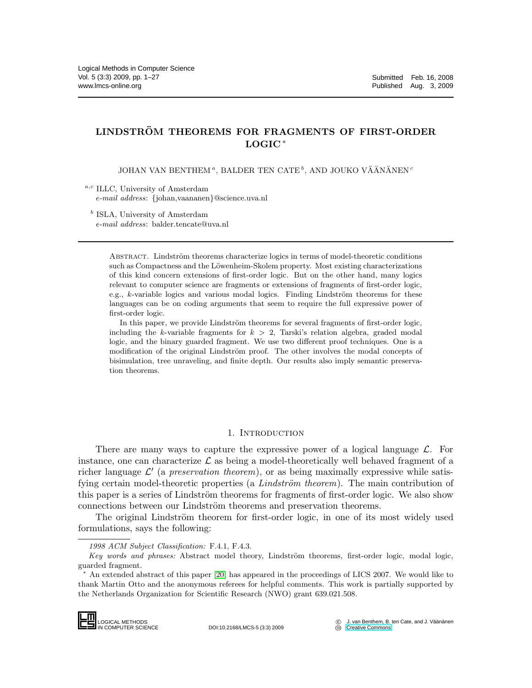# LINDSTRÖM THEOREMS FOR FRAGMENTS OF FIRST-ORDER LOGIC <sup>∗</sup>

JOHAN VAN BENTHEM", BALDER TEN CATE<sup>b</sup>, AND JOUKO VÄÄNÄNEN<sup>e</sup>

 $a,c$  ILLC, University of Amsterdam *e-mail address*: {johan,vaananen}@science.uva.nl

<sup>b</sup> ISLA, University of Amsterdam *e-mail address*: balder.tencate@uva.nl

> ABSTRACT. Lindström theorems characterize logics in terms of model-theoretic conditions such as Compactness and the Löwenheim-Skolem property. Most existing characterizations of this kind concern extensions of first-order logic. But on the other hand, many logics relevant to computer science are fragments or extensions of fragments of first-order logic, e.g.,  $k$ -variable logics and various modal logics. Finding Lindström theorems for these languages can be on coding arguments that seem to require the full expressive power of first-order logic.

> In this paper, we provide Lindström theorems for several fragments of first-order logic, including the k-variable fragments for  $k > 2$ , Tarski's relation algebra, graded modal logic, and the binary guarded fragment. We use two different proof techniques. One is a modification of the original Lindström proof. The other involves the modal concepts of bisimulation, tree unraveling, and finite depth. Our results also imply semantic preservation theorems.

### 1. INTRODUCTION

There are many ways to capture the expressive power of a logical language  $\mathcal{L}$ . For instance, one can characterize  $\mathcal L$  as being a model-theoretically well behaved fragment of a richer language  $\mathcal{L}'$  (a preservation theorem), or as being maximally expressive while satisfying certain model-theoretic properties (a *Lindström theorem*). The main contribution of this paper is a series of Lindström theorems for fragments of first-order logic. We also show connections between our Lindström theorems and preservation theorems.

The original Lindström theorem for first-order logic, in one of its most widely used formulations, says the following:

An extended abstract of this paper [\[20\]](#page-26-0) has appeared in the proceedings of LICS 2007. We would like to thank Martin Otto and the anonymous referees for helpful comments. This work is partially supported by the Netherlands Organization for Scientific Research (NWO) grant 639.021.508.



DOI:10.2168/LMCS-5 (3:3) 2009

*<sup>1998</sup> ACM Subject Classification:* F.4.1, F.4.3.

Key words and phrases: Abstract model theory, Lindström theorems, first-order logic, modal logic, guarded fragment.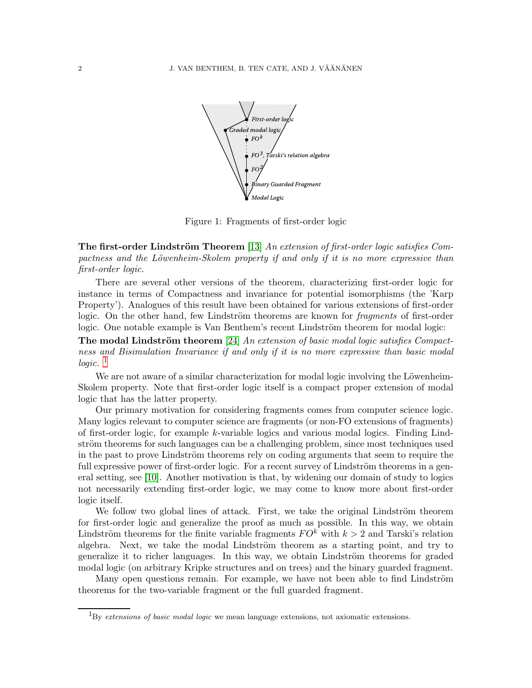

Figure 1: Fragments of first-order logic

The first-order Lindström Theorem [\[13\]](#page-26-1) An extension of first-order logic satisfies Compactness and the Löwenheim-Skolem property if and only if it is no more expressive than first-order logic.

There are several other versions of the theorem, characterizing first-order logic for instance in terms of Compactness and invariance for potential isomorphisms (the 'Karp Property'). Analogues of this result have been obtained for various extensions of first-order logic. On the other hand, few Lindström theorems are known for *fragments* of first-order logic. One notable example is Van Benthem's recent Lindström theorem for modal logic:

**The modal Lindström theorem** [\[24\]](#page-26-2) An extension of basic modal logic satisfies Compactness and Bisimulation Invariance if and only if it is no more expressive than basic modal logic.  $\frac{1}{2}$  $\frac{1}{2}$  $\frac{1}{2}$ 

We are not aware of a similar characterization for modal logic involving the Löwenheim-Skolem property. Note that first-order logic itself is a compact proper extension of modal logic that has the latter property.

Our primary motivation for considering fragments comes from computer science logic. Many logics relevant to computer science are fragments (or non-FO extensions of fragments) of first-order logic, for example k-variable logics and various modal logics. Finding Lindström theorems for such languages can be a challenging problem, since most techniques used in the past to prove Lindström theorems rely on coding arguments that seem to require the full expressive power of first-order logic. For a recent survey of Lindström theorems in a general setting, see [\[10\]](#page-26-3). Another motivation is that, by widening our domain of study to logics not necessarily extending first-order logic, we may come to know more about first-order logic itself.

We follow two global lines of attack. First, we take the original Lindström theorem for first-order logic and generalize the proof as much as possible. In this way, we obtain Lindström theorems for the finite variable fragments  $FO<sup>k</sup>$  with  $k > 2$  and Tarski's relation algebra. Next, we take the modal Lindström theorem as a starting point, and try to generalize it to richer languages. In this way, we obtain Lindström theorems for graded modal logic (on arbitrary Kripke structures and on trees) and the binary guarded fragment.

Many open questions remain. For example, we have not been able to find Lindström theorems for the two-variable fragment or the full guarded fragment.

<span id="page-1-0"></span><sup>1</sup>By *extensions of basic modal logic* we mean language extensions, not axiomatic extensions.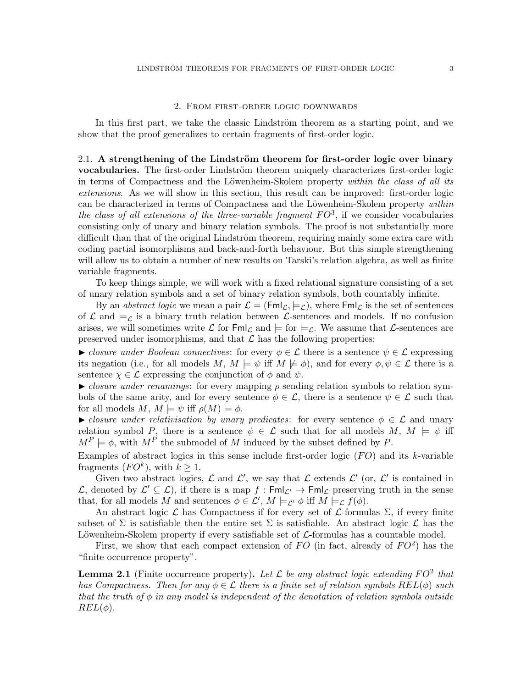#### 2. From first-order logic downwards

In this first part, we take the classic Lindström theorem as a starting point, and we show that the proof generalizes to certain fragments of first-order logic.

2.1. A strengthening of the Lindström theorem for first-order logic over binary vocabularies. The first-order Lindström theorem uniquely characterizes first-order logic in terms of Compactness and the Löwenheim-Skolem property within the class of all its extensions. As we will show in this section, this result can be improved: first-order logic can be characterized in terms of Compactness and the Löwenheim-Skolem property within the class of all extensions of the three-variable fragment  $FO^3$ , if we consider vocabularies consisting only of unary and binary relation symbols. The proof is not substantially more difficult than that of the original Lindström theorem, requiring mainly some extra care with coding partial isomorphisms and back-and-forth behaviour. But this simple strengthening will allow us to obtain a number of new results on Tarski's relation algebra, as well as finite variable fragments.

To keep things simple, we will work with a fixed relational signature consisting of a set of unary relation symbols and a set of binary relation symbols, both countably infinite.

By an *abstract logic* we mean a pair  $\mathcal{L} = (Fml_{\mathcal{L}}, \models_{\mathcal{L}})$ , where  $Fml_{\mathcal{L}}$  is the set of sentences of  $\mathcal L$  and  $\models_{\mathcal L}$  is a binary truth relation between  $\mathcal L$ -sentences and models. If no confusion arises, we will sometimes write  $\mathcal L$  for  $\mathsf{Fml}_\mathcal L$  and  $\models$  for  $\models_\mathcal L$ . We assume that  $\mathcal L$ -sentences are preserved under isomorphisms, and that  $\mathcal L$  has the following properties:

 $\blacktriangleright$  closure under Boolean connectives: for every  $\phi \in \mathcal{L}$  there is a sentence  $\psi \in \mathcal{L}$  expressing its negation (i.e., for all models M,  $M \models \psi$  iff  $M \not\models \phi$ ), and for every  $\phi, \psi \in \mathcal{L}$  there is a sentence  $\chi \in \mathcal{L}$  expressing the conjunction of  $\phi$  and  $\psi$ .

 $\triangleright$  closure under renamings: for every mapping  $\rho$  sending relation symbols to relation symbols of the same arity, and for every sentence  $\phi \in \mathcal{L}$ , there is a sentence  $\psi \in \mathcal{L}$  such that for all models  $M, M \models \psi$  iff  $\rho(M) \models \phi$ .

ightharpoontal closure under relativisation by unary predicates: for every sentence  $\phi \in \mathcal{L}$  and unary relation symbol P, there is a sentence  $\psi \in \mathcal{L}$  such that for all models  $M, M \models \psi$  iff  $M^P \models \phi$ , with  $M^P$  the submodel of M induced by the subset defined by P.

Examples of abstract logics in this sense include first-order logic  $(FO)$  and its k-variable fragments  $(FO^k)$ , with  $k \geq 1$ .

Given two abstract logics,  $\mathcal L$  and  $\mathcal L'$ , we say that  $\mathcal L$  extends  $\mathcal L'$  (or,  $\mathcal L'$  is contained in L, denoted by  $\mathcal{L}' \subseteq \mathcal{L}$ , if there is a map  $f : \mathsf{Fml}_{\mathcal{L}'} \to \mathsf{Fml}_{\mathcal{L}}$  preserving truth in the sense that, for all models M and sentences  $\phi \in \mathcal{L}'$ ,  $M \models_{\mathcal{L}'} \phi$  iff  $M \models_{\mathcal{L}} f(\phi)$ .

An abstract logic  $\mathcal L$  has Compactness if for every set of  $\mathcal L$ -formulas  $\Sigma$ , if every finite subset of  $\Sigma$  is satisfiable then the entire set  $\Sigma$  is satisfiable. An abstract logic  $\mathcal L$  has the Löwenheim-Skolem property if every satisfiable set of  $\mathcal L$ -formulas has a countable model.

First, we show that each compact extension of  $FO$  (in fact, already of  $FO^2$ ) has the "finite occurrence property".

<span id="page-2-0"></span>**Lemma 2.1** (Finite occurrence property). Let  $\mathcal{L}$  be any abstract logic extending  $FO^2$  that has Compactness. Then for any  $\phi \in \mathcal{L}$  there is a finite set of relation symbols  $REL(\phi)$  such that the truth of  $\phi$  in any model is independent of the denotation of relation symbols outside  $REL(\phi)$ .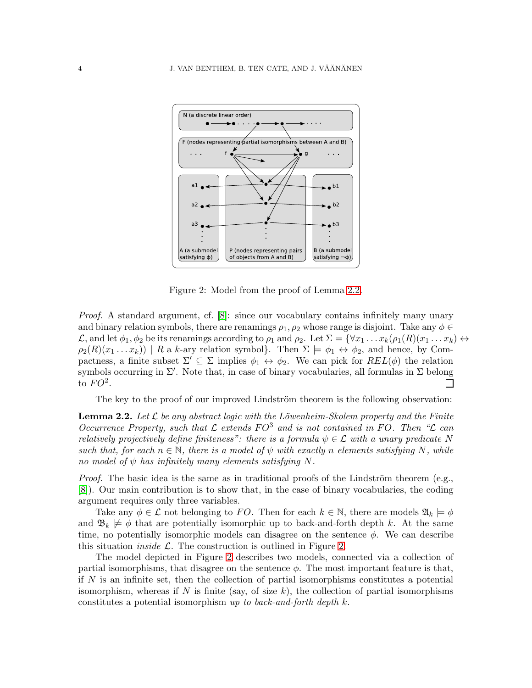

<span id="page-3-1"></span>Figure 2: Model from the proof of Lemma [2.2.](#page-3-0)

Proof. A standard argument, cf. [\[8\]](#page-26-4): since our vocabulary contains infinitely many unary and binary relation symbols, there are renamings  $\rho_1, \rho_2$  whose range is disjoint. Take any  $\phi \in$  $\mathcal{L}$ , and let  $\phi_1, \phi_2$  be its renamings according to  $\rho_1$  and  $\rho_2$ . Let  $\Sigma = {\forall x_1 \dots x_k (\rho_1(R)(x_1 \dots x_k) \leftrightarrow \rho_2]}$  $\rho_2(R)(x_1 \ldots x_k)$  | R a k-ary relation symbol}. Then  $\Sigma \models \phi_1 \leftrightarrow \phi_2$ , and hence, by Compactness, a finite subset  $\Sigma' \subseteq \Sigma$  implies  $\phi_1 \leftrightarrow \phi_2$ . We can pick for  $REL(\phi)$  the relation symbols occurring in  $\Sigma'$ . Note that, in case of binary vocabularies, all formulas in  $\Sigma$  belong to  $FO^2$ .  $\Box$ 

The key to the proof of our improved Lindström theorem is the following observation:

<span id="page-3-0"></span>**Lemma 2.2.** Let  $\mathcal{L}$  be any abstract logic with the Löwenheim-Skolem property and the Finite Occurrence Property, such that  $\mathcal L$  extends  $FO^3$  and is not contained in FO. Then " $\mathcal L$  can relatively projectively define finiteness": there is a formula  $\psi \in \mathcal{L}$  with a unary predicate N such that, for each  $n \in \mathbb{N}$ , there is a model of  $\psi$  with exactly n elements satisfying N, while no model of  $\psi$  has infinitely many elements satisfying N.

*Proof.* The basic idea is the same as in traditional proofs of the Lindström theorem (e.g., [\[8\]](#page-26-4)). Our main contribution is to show that, in the case of binary vocabularies, the coding argument requires only three variables.

Take any  $\phi \in \mathcal{L}$  not belonging to FO. Then for each  $k \in \mathbb{N}$ , there are models  $\mathfrak{A}_k \models \phi$ and  $\mathfrak{B}_k \not\models \phi$  that are potentially isomorphic up to back-and-forth depth k. At the same time, no potentially isomorphic models can disagree on the sentence  $\phi$ . We can describe this situation *inside*  $\mathcal{L}$ . The construction is outlined in Figure [2.](#page-3-1)

The model depicted in Figure [2](#page-3-1) describes two models, connected via a collection of partial isomorphisms, that disagree on the sentence  $\phi$ . The most important feature is that, if N is an infinite set, then the collection of partial isomorphisms constitutes a potential isomorphism, whereas if N is finite (say, of size k), the collection of partial isomorphisms constitutes a potential isomorphism up to back-and-forth depth k.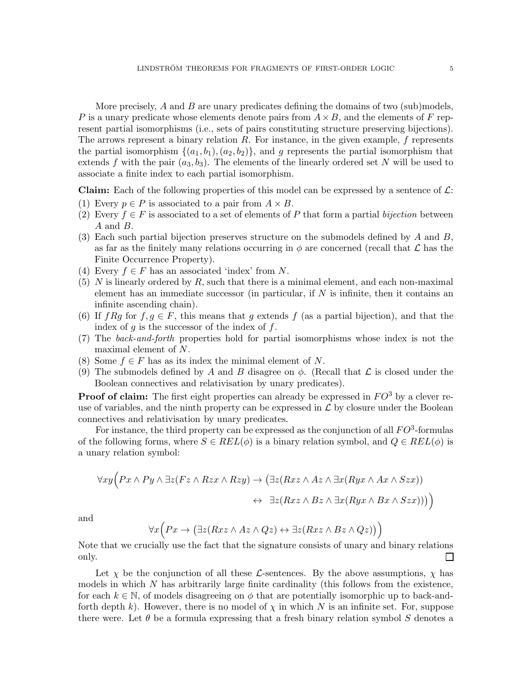More precisely,  $A$  and  $B$  are unary predicates defining the domains of two (sub)models, P is a unary predicate whose elements denote pairs from  $A \times B$ , and the elements of F represent partial isomorphisms (i.e., sets of pairs constituting structure preserving bijections). The arrows represent a binary relation  $R$ . For instance, in the given example,  $f$  represents the partial isomorphism  $\{(a_1, b_1), (a_2, b_2)\}\$ , and g represents the partial isomorphism that extends f with the pair  $(a_3, b_3)$ . The elements of the linearly ordered set N will be used to associate a finite index to each partial isomorphism.

**Claim:** Each of the following properties of this model can be expressed by a sentence of  $\mathcal{L}$ :

- (1) Every  $p \in P$  is associated to a pair from  $A \times B$ .
- (2) Every  $f \in F$  is associated to a set of elements of P that form a partial *bijection* between A and B.
- (3) Each such partial bijection preserves structure on the submodels defined by  $A$  and  $B$ , as far as the finitely many relations occurring in  $\phi$  are concerned (recall that  $\mathcal L$  has the Finite Occurrence Property).
- (4) Every  $f \in F$  has an associated 'index' from N.
- $(5)$  N is linearly ordered by R, such that there is a minimal element, and each non-maximal element has an immediate successor (in particular, if  $N$  is infinite, then it contains an infinite ascending chain).
- (6) If  $fRg$  for  $f, g \in F$ , this means that g extends f (as a partial bijection), and that the index of  $q$  is the successor of the index of  $f$ .
- (7) The back-and-forth properties hold for partial isomorphisms whose index is not the maximal element of N.
- (8) Some  $f \in F$  has as its index the minimal element of N.
- (9) The submodels defined by A and B disagree on  $\phi$ . (Recall that  $\mathcal L$  is closed under the Boolean connectives and relativisation by unary predicates).

**Proof of claim:** The first eight properties can already be expressed in  $FO^3$  by a clever reuse of variables, and the ninth property can be expressed in  $\mathcal L$  by closure under the Boolean connectives and relativisation by unary predicates.

For instance, the third property can be expressed as the conjunction of all  $FO^3$ -formulas of the following forms, where  $S \in REL(\phi)$  is a binary relation symbol, and  $Q \in REL(\phi)$  is a unary relation symbol:

$$
\forall xy \Big( Px \wedge Py \wedge \exists z (Fz \wedge Rzx \wedge Rzy) \rightarrow (\exists z (Rxz \wedge Az \wedge \exists x (Ryx \wedge Ax \wedge Szx))
$$

$$
\leftrightarrow \exists z (Rxz \wedge Bz \wedge \exists x (Ryx \wedge Bx \wedge Szx)))
$$

and

$$
\forall x \Big( Px \to \big(\exists z (Rxz \land Az \land Qz) \leftrightarrow \exists z (Rxz \land Bz \land Qz) \big) \Big)
$$

Note that we crucially use the fact that the signature consists of unary and binary relations only.  $\Box$ 

Let  $\chi$  be the conjunction of all these L-sentences. By the above assumptions,  $\chi$  has models in which  $N$  has arbitrarily large finite cardinality (this follows from the existence, for each  $k \in \mathbb{N}$ , of models disagreeing on  $\phi$  that are potentially isomorphic up to back-andforth depth k). However, there is no model of  $\chi$  in which N is an infinite set. For, suppose there were. Let  $\theta$  be a formula expressing that a fresh binary relation symbol S denotes a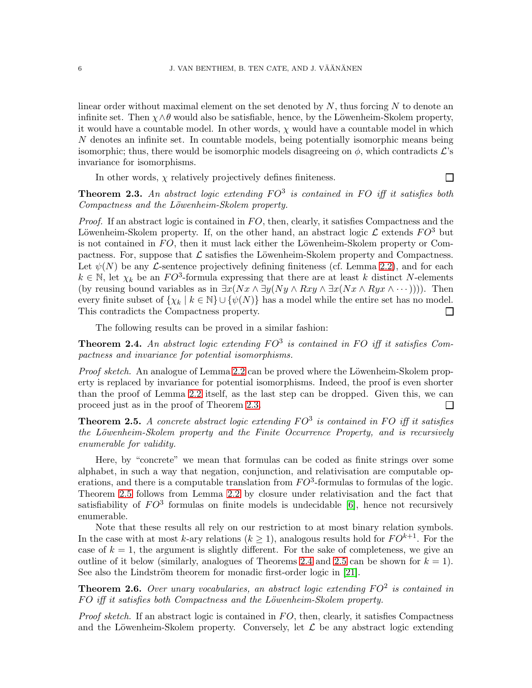linear order without maximal element on the set denoted by  $N$ , thus forcing  $N$  to denote an infinite set. Then  $\chi \wedge \theta$  would also be satisfiable, hence, by the Löwenheim-Skolem property, it would have a countable model. In other words,  $\chi$  would have a countable model in which N denotes an infinite set. In countable models, being potentially isomorphic means being isomorphic; thus, there would be isomorphic models disagreeing on  $\phi$ , which contradicts  $\mathcal{L}$ 's invariance for isomorphisms.

In other words,  $\chi$  relatively projectively defines finiteness.

 $\Box$ 

<span id="page-5-0"></span>**Theorem 2.3.** An abstract logic extending  $FO^3$  is contained in FO iff it satisfies both Compactness and the Löwenheim-Skolem property.

*Proof.* If an abstract logic is contained in  $FO$ , then, clearly, it satisfies Compactness and the Löwenheim-Skolem property. If, on the other hand, an abstract logic  $\mathcal L$  extends  $FO^3$  but is not contained in  $FO$ , then it must lack either the Löwenheim-Skolem property or Compactness. For, suppose that  $\mathcal L$  satisfies the Löwenheim-Skolem property and Compactness. Let  $\psi(N)$  be any *L*-sentence projectively defining finiteness (cf. Lemma [2.2\)](#page-3-0), and for each  $k \in \mathbb{N}$ , let  $\chi_k$  be an  $FO^3$ -formula expressing that there are at least k distinct N-elements (by reusing bound variables as in  $\exists x(Nx \land \exists y(Ny \land Rxy \land \exists x(Nx \land Ryx \land \cdots)))$ ). Then every finite subset of  $\{\chi_k \mid k \in \mathbb{N}\} \cup \{\psi(N)\}\$  has a model while the entire set has no model. This contradicts the Compactness property.  $\Box$ 

The following results can be proved in a similar fashion:

<span id="page-5-2"></span>**Theorem 2.4.** An abstract logic extending  $FO^3$  is contained in FO iff it satisfies Compactness and invariance for potential isomorphisms.

Proof sketch. An analogue of Lemma [2.2](#page-3-0) can be proved where the Löwenheim-Skolem property is replaced by invariance for potential isomorphisms. Indeed, the proof is even shorter than the proof of Lemma [2.2](#page-3-0) itself, as the last step can be dropped. Given this, we can proceed just as in the proof of Theorem [2.3.](#page-5-0)  $\Box$ 

<span id="page-5-1"></span>**Theorem 2.5.** A concrete abstract logic extending  $FO^3$  is contained in FO iff it satisfies the Löwenheim-Skolem property and the Finite Occurrence Property, and is recursively enumerable for validity.

Here, by "concrete" we mean that formulas can be coded as finite strings over some alphabet, in such a way that negation, conjunction, and relativisation are computable operations, and there is a computable translation from  $FO^3$ -formulas to formulas of the logic. Theorem [2.5](#page-5-1) follows from Lemma [2.2](#page-3-0) by closure under relativisation and the fact that satisfiability of  $FO^3$  formulas on finite models is undecidable [\[6\]](#page-26-5), hence not recursively enumerable.

Note that these results all rely on our restriction to at most binary relation symbols. In the case with at most k-ary relations  $(k \geq 1)$ , analogous results hold for  $FO^{k+1}$ . For the case of  $k = 1$ , the argument is slightly different. For the sake of completeness, we give an outline of it below (similarly, analogues of Theorems [2.4](#page-5-2) and [2.5](#page-5-1) can be shown for  $k = 1$ ). See also the Lindström theorem for monadic first-order logic in [\[21\]](#page-26-6).

**Theorem 2.6.** Over unary vocabularies, an abstract logic extending  $FO^2$  is contained in  $FO$  iff it satisfies both Compactness and the Löwenheim-Skolem property.

*Proof sketch.* If an abstract logic is contained in  $FO$ , then, clearly, it satisfies Compactness and the Löwenheim-Skolem property. Conversely, let  $\mathcal L$  be any abstract logic extending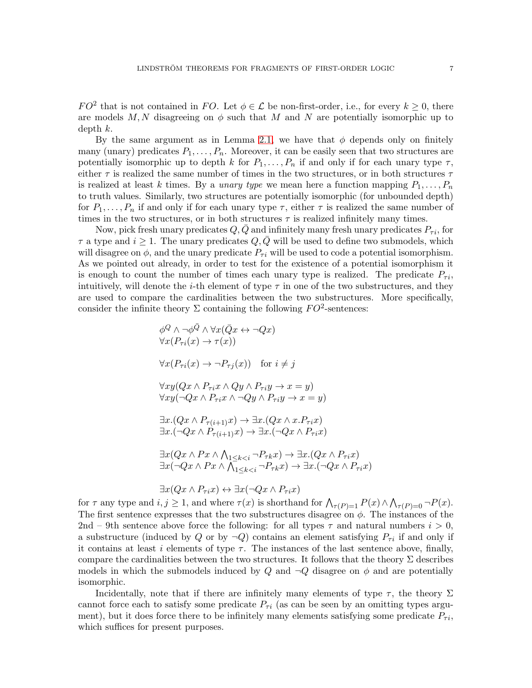$FO^2$  that is not contained in FO. Let  $\phi \in \mathcal{L}$  be non-first-order, i.e., for every  $k \geq 0$ , there are models  $M, N$  disagreeing on  $\phi$  such that M and N are potentially isomorphic up to depth  $k$ .

By the same argument as in Lemma [2.1,](#page-2-0) we have that  $\phi$  depends only on finitely many (unary) predicates  $P_1, \ldots, P_n$ . Moreover, it can be easily seen that two structures are potentially isomorphic up to depth k for  $P_1, \ldots, P_n$  if and only if for each unary type  $\tau$ , either  $\tau$  is realized the same number of times in the two structures, or in both structures  $\tau$ is realized at least k times. By a *unary type* we mean here a function mapping  $P_1, \ldots, P_n$ to truth values. Similarly, two structures are potentially isomorphic (for unbounded depth) for  $P_1, \ldots, P_n$  if and only if for each unary type  $\tau$ , either  $\tau$  is realized the same number of times in the two structures, or in both structures  $\tau$  is realized infinitely many times.

Now, pick fresh unary predicates  $Q$ ,  $Q$  and infinitely many fresh unary predicates  $P_{\tau i}$ , for  $\tau$  a type and  $i \geq 1$ . The unary predicates  $Q, Q$  will be used to define two submodels, which will disagree on  $\phi$ , and the unary predicate  $P_{\tau i}$  will be used to code a potential isomorphism. As we pointed out already, in order to test for the existence of a potential isomorphism it is enough to count the number of times each unary type is realized. The predicate  $P_{\tau i}$ , intuitively, will denote the *i*-th element of type  $\tau$  in one of the two substructures, and they are used to compare the cardinalities between the two substructures. More specifically, consider the infinite theory  $\Sigma$  containing the following  $FO^2$ -sentences:

$$
\phi^Q \wedge \neg \phi^{\bar{Q}} \wedge \forall x (\bar{Q}x \leftrightarrow \neg Qx)
$$
  
\n
$$
\forall x (P_{\tau i}(x) \to \tau(x))
$$
  
\n
$$
\forall x (P_{\tau i}(x) \to \neg P_{\tau j}(x)) \text{ for } i \neq j
$$
  
\n
$$
\forall xy (Qx \wedge P_{\tau i}x \wedge Qy \wedge P_{\tau i}y \to x = y)
$$
  
\n
$$
\forall xy (\neg Qx \wedge P_{\tau i}x \wedge \neg Qy \wedge P_{\tau i}y \to x = y)
$$
  
\n
$$
\exists x.(Qx \wedge P_{\tau(i+1)}x) \to \exists x.(Qx \wedge x.P_{\tau i}x)
$$
  
\n
$$
\exists x.(\neg Qx \wedge P_{\tau(i+1)}x) \to \exists x.(\neg Qx \wedge P_{\tau i}x)
$$
  
\n
$$
\exists x (Qx \wedge Px \wedge \wedge_{1 \leq k < i} \neg P_{\tau k}x) \to \exists x.(Qx \wedge P_{\tau i}x)
$$
  
\n
$$
\exists x (\neg Qx \wedge Px \wedge \wedge_{1 \leq k < i} \neg P_{\tau k}x) \to \exists x.(\neg Qx \wedge P_{\tau i}x)
$$

$$
\exists x (Qx \land P_{\tau i} x) \leftrightarrow \exists x (\neg Qx \land P_{\tau i} x)
$$

for  $\tau$  any type and  $i, j \geq 1$ , and where  $\tau(x)$  is shorthand for  $\bigwedge_{\tau(P)=1} P(x) \wedge \bigwedge_{\tau(P)=0} \neg P(x)$ . The first sentence expresses that the two substructures disagree on  $\phi$ . The instances of the 2nd – 9th sentence above force the following: for all types  $\tau$  and natural numbers  $i > 0$ , a substructure (induced by Q or by  $\neg Q$ ) contains an element satisfying  $P_{\tau i}$  if and only if it contains at least i elements of type  $\tau$ . The instances of the last sentence above, finally, compare the cardinalities between the two structures. It follows that the theory  $\Sigma$  describes models in which the submodels induced by Q and  $\neg Q$  disagree on  $\phi$  and are potentially isomorphic.

Incidentally, note that if there are infinitely many elements of type  $\tau$ , the theory  $\Sigma$ cannot force each to satisfy some predicate  $P_{\tau i}$  (as can be seen by an omitting types argument), but it does force there to be infinitely many elements satisfying some predicate  $P_{\tau i}$ , which suffices for present purposes.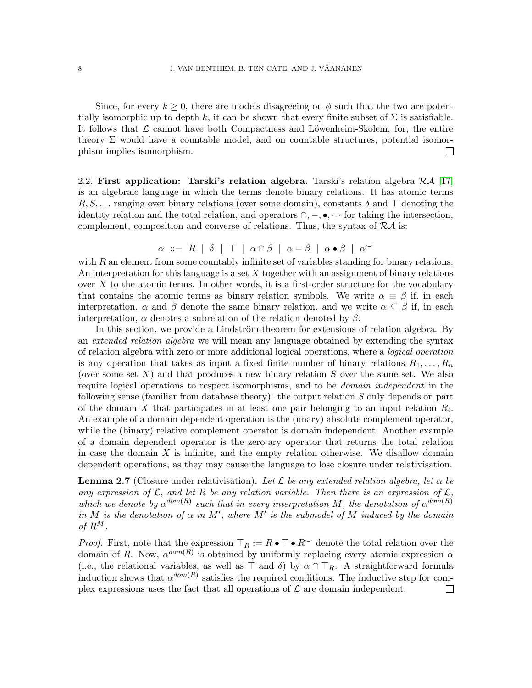Since, for every  $k \geq 0$ , there are models disagreeing on  $\phi$  such that the two are potentially isomorphic up to depth k, it can be shown that every finite subset of  $\Sigma$  is satisfiable. It follows that  $\mathcal L$  cannot have both Compactness and Löwenheim-Skolem, for, the entire theory  $\Sigma$  would have a countable model, and on countable structures, potential isomorphism implies isomorphism.  $\Box$ 

2.2. First application: Tarski's relation algebra. Tarski's relation algebra  $\mathcal{RA}$  [\[17\]](#page-26-7) is an algebraic language in which the terms denote binary relations. It has atomic terms R, S, ... ranging over binary relations (over some domain), constants  $\delta$  and ⊤ denoting the identity relation and the total relation, and operators  $\cap, -$ ,  $\bullet, \sim$  for taking the intersection, complement, composition and converse of relations. Thus, the syntax of  $\mathcal{R}\mathcal{A}$  is:

$$
\alpha \ ::= R \mid \delta \mid \top \mid \alpha \cap \beta \mid \alpha - \beta \mid \alpha \bullet \beta \mid \alpha \check{ }
$$

with  $R$  an element from some countably infinite set of variables standing for binary relations. An interpretation for this language is a set  $X$  together with an assignment of binary relations over  $X$  to the atomic terms. In other words, it is a first-order structure for the vocabulary that contains the atomic terms as binary relation symbols. We write  $\alpha \equiv \beta$  if, in each interpretation,  $\alpha$  and  $\beta$  denote the same binary relation, and we write  $\alpha \subseteq \beta$  if, in each interpretation,  $\alpha$  denotes a subrelation of the relation denoted by  $\beta$ .

In this section, we provide a Lindström-theorem for extensions of relation algebra. By an extended relation algebra we will mean any language obtained by extending the syntax of relation algebra with zero or more additional logical operations, where a logical operation is any operation that takes as input a fixed finite number of binary relations  $R_1, \ldots, R_n$ (over some set  $X$ ) and that produces a new binary relation  $S$  over the same set. We also require logical operations to respect isomorphisms, and to be *domain independent* in the following sense (familiar from database theory): the output relation S only depends on part of the domain X that participates in at least one pair belonging to an input relation  $R_i$ . An example of a domain dependent operation is the (unary) absolute complement operator, while the (binary) relative complement operator is domain independent. Another example of a domain dependent operator is the zero-ary operator that returns the total relation in case the domain  $X$  is infinite, and the empty relation otherwise. We disallow domain dependent operations, as they may cause the language to lose closure under relativisation.

**Lemma 2.7** (Closure under relativisation). Let  $\mathcal L$  be any extended relation algebra, let  $\alpha$  be any expression of  $\mathcal{L}$ , and let R be any relation variable. Then there is an expression of  $\mathcal{L}$ , which we denote by  $\alpha^{dom(R)}$  such that in every interpretation M, the denotation of  $\alpha^{dom(R)}$ in M is the denotation of  $\alpha$  in M', where M' is the submodel of M induced by the domain of  $R^M$ .

*Proof.* First, note that the expression  $\top_R := R \bullet \top \bullet R^{\smile}$  denote the total relation over the domain of R. Now,  $\alpha^{dom(R)}$  is obtained by uniformly replacing every atomic expression  $\alpha$ (i.e., the relational variables, as well as  $\overline{\top}$  and  $\delta$ ) by  $\alpha \cap \overline{\top}_R$ . A straightforward formula induction shows that  $\alpha^{dom(R)}$  satisfies the required conditions. The inductive step for complex expressions uses the fact that all operations of  $\mathcal L$  are domain independent. П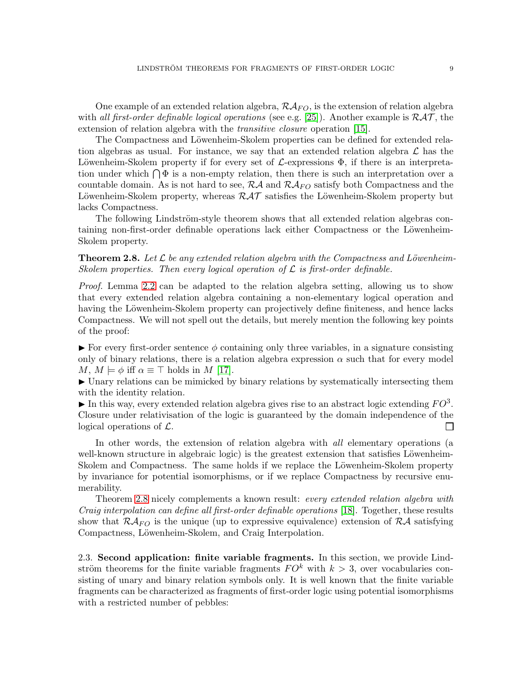One example of an extended relation algebra,  $\mathcal{R} \mathcal{A}_{FO}$ , is the extension of relation algebra with all first-order definable logical operations (see e.g. [\[25\]](#page-26-8)). Another example is  $\mathcal{RAT}$ , the extension of relation algebra with the *transitive closure* operation [\[15\]](#page-26-9).

The Compactness and Löwenheim-Skolem properties can be defined for extended relation algebras as usual. For instance, we say that an extended relation algebra  $\mathcal L$  has the Löwenheim-Skolem property if for every set of  $\mathcal{L}$ -expressions  $\Phi$ , if there is an interpretation under which  $\bigcap \Phi$  is a non-empty relation, then there is such an interpretation over a countable domain. As is not hard to see,  $R\mathcal{A}$  and  $R\mathcal{A}_{FO}$  satisfy both Compactness and the Löwenheim-Skolem property, whereas  $\mathcal{RAT}$  satisfies the Löwenheim-Skolem property but lacks Compactness.

The following Lindström-style theorem shows that all extended relation algebras containing non-first-order definable operations lack either Compactness or the Löwenheim-Skolem property.

## <span id="page-8-0"></span>**Theorem 2.8.** Let  $\mathcal{L}$  be any extended relation algebra with the Compactness and Löwenheim-Skolem properties. Then every logical operation of  $\mathcal L$  is first-order definable.

Proof. Lemma [2.2](#page-3-0) can be adapted to the relation algebra setting, allowing us to show that every extended relation algebra containing a non-elementary logical operation and having the Löwenheim-Skolem property can projectively define finiteness, and hence lacks Compactness. We will not spell out the details, but merely mention the following key points of the proof:

 $\triangleright$  For every first-order sentence  $\phi$  containing only three variables, in a signature consisting only of binary relations, there is a relation algebra expression  $\alpha$  such that for every model M,  $M \models \phi$  iff  $\alpha \equiv \top$  holds in M [\[17\]](#page-26-7).

► Unary relations can be mimicked by binary relations by systematically intersecting them with the identity relation.

In this way, every extended relation algebra gives rise to an abstract logic extending  $FO^3$ . Closure under relativisation of the logic is guaranteed by the domain independence of the logical operations of  $\mathcal{L}$ .  $\Box$ 

In other words, the extension of relation algebra with *all* elementary operations (a well-known structure in algebraic logic) is the greatest extension that satisfies Löwenheim-Skolem and Compactness. The same holds if we replace the Löwenheim-Skolem property by invariance for potential isomorphisms, or if we replace Compactness by recursive enumerability.

Theorem [2.8](#page-8-0) nicely complements a known result: every extended relation algebra with Craig interpolation can define all first-order definable operations [\[18\]](#page-26-10). Together, these results show that  $\mathcal{R}A_{FO}$  is the unique (up to expressive equivalence) extension of  $\mathcal{R}A$  satisfying Compactness, Löwenheim-Skolem, and Craig Interpolation.

2.3. Second application: finite variable fragments. In this section, we provide Lindström theorems for the finite variable fragments  $FO<sup>k</sup>$  with  $k > 3$ , over vocabularies consisting of unary and binary relation symbols only. It is well known that the finite variable fragments can be characterized as fragments of first-order logic using potential isomorphisms with a restricted number of pebbles: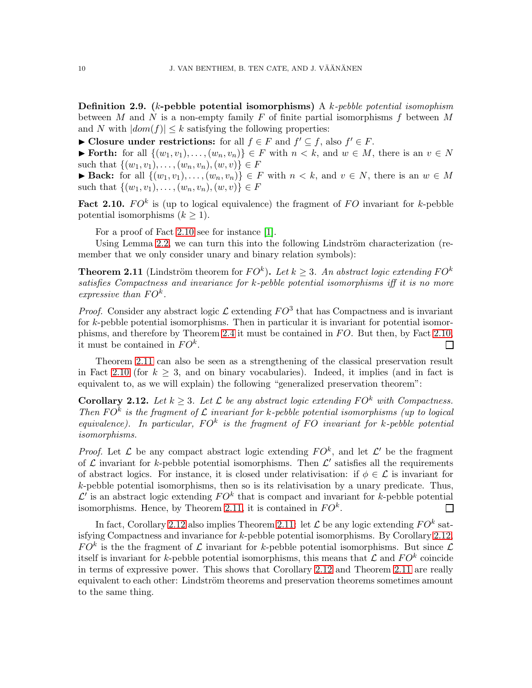**Definition 2.9.** (k-pebble potential isomorphisms) A k-pebble potential isomophism between  $M$  and  $N$  is a non-empty family  $F$  of finite partial isomorphisms  $f$  between  $M$ and N with  $|dom(f)| \leq k$  satisfying the following properties:

► Closure under restrictions: for all  $f \in F$  and  $f' \subseteq f$ , also  $f' \in F$ .

► Forth: for all  $\{(w_1, v_1), \ldots, (w_n, v_n)\}\in F$  with  $n < k$ , and  $w \in M$ , there is an  $v \in N$ such that  $\{(w_1, v_1), \ldots, (w_n, v_n), (w, v)\}\in F$ 

► Back: for all  $\{(w_1, v_1), \ldots, (w_n, v_n)\}\in F$  with  $n < k$ , and  $v \in N$ , there is an  $w \in M$ such that  $\{(w_1, v_1), \ldots, (w_n, v_n), (w, v)\} \in F$ 

<span id="page-9-0"></span>Fact 2.10.  $FO^k$  is (up to logical equivalence) the fragment of FO invariant for k-pebble potential isomorphisms  $(k \geq 1)$ .

For a proof of Fact [2.10](#page-9-0) see for instance [\[1\]](#page-26-11).

Using Lemma [2.2,](#page-3-0) we can turn this into the following Lindström characterization (remember that we only consider unary and binary relation symbols):

<span id="page-9-1"></span>**Theorem 2.11** (Lindström theorem for  $FO^k$ ). Let  $k \geq 3$ . An abstract logic extending  $FO^k$ satisfies Compactness and invariance for k-pebble potential isomorphisms iff it is no more expressive than  $FO^k$ .

*Proof.* Consider any abstract logic  $\mathcal{L}$  extending  $FO^3$  that has Compactness and is invariant for k-pebble potential isomorphisms. Then in particular it is invariant for potential isomor-phisms, and therefore by Theorem [2.4](#page-5-2) it must be contained in  $FO$ . But then, by Fact [2.10,](#page-9-0) it must be contained in  $FO^k$ .  $\Box$ 

Theorem [2.11](#page-9-1) can also be seen as a strengthening of the classical preservation result in Fact [2.10](#page-9-0) (for  $k \geq 3$ , and on binary vocabularies). Indeed, it implies (and in fact is equivalent to, as we will explain) the following "generalized preservation theorem":

<span id="page-9-2"></span>**Corollary 2.12.** Let  $k > 3$ . Let  $\mathcal{L}$  be any abstract logic extending FO<sup>k</sup> with Compactness. Then  $FO<sup>k</sup>$  is the fragment of  $\mathcal L$  invariant for k-pebble potential isomorphisms (up to logical equivalence). In particular,  $FO^k$  is the fragment of FO invariant for k-pebble potential isomorphisms.

*Proof.* Let  $\mathcal{L}$  be any compact abstract logic extending  $FO^k$ , and let  $\mathcal{L}'$  be the fragment of  $\mathcal L$  invariant for k-pebble potential isomorphisms. Then  $\mathcal L'$  satisfies all the requirements of abstract logics. For instance, it is closed under relativisation: if  $\phi \in \mathcal{L}$  is invariant for  $k$ -pebble potential isomorphisms, then so is its relativisation by a unary predicate. Thus,  $\mathcal{L}'$  is an abstract logic extending  $FO<sup>k</sup>$  that is compact and invariant for k-pebble potential isomorphisms. Hence, by Theorem [2.11,](#page-9-1) it is contained in  $FO<sup>k</sup>$ . П

In fact, Corollary [2.12](#page-9-2) also implies Theorem [2.11:](#page-9-1) let  $\mathcal L$  be any logic extending  $FO^k$  satisfying Compactness and invariance for k-pebble potential isomorphisms. By Corollary [2.12,](#page-9-2)  $FO<sup>k</sup>$  is the the fragment of  $\mathcal L$  invariant for k-pebble potential isomorphisms. But since  $\mathcal L$ itself is invariant for k-pebble potential isomorphisms, this means that  $\mathcal L$  and  $FO^k$  coincide in terms of expressive power. This shows that Corollary [2.12](#page-9-2) and Theorem [2.11](#page-9-1) are really equivalent to each other: Lindström theorems and preservation theorems sometimes amount to the same thing.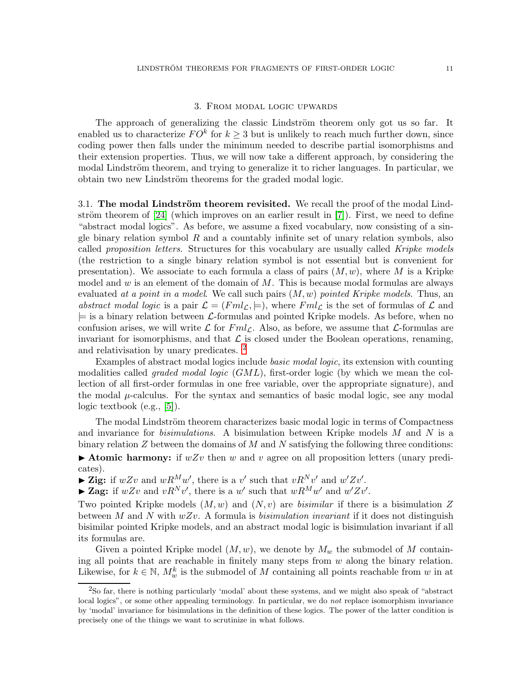### 3. From modal logic upwards

The approach of generalizing the classic Lindström theorem only got us so far. It enabled us to characterize  $FO<sup>k</sup>$  for  $k \geq 3$  but is unlikely to reach much further down, since coding power then falls under the minimum needed to describe partial isomorphisms and their extension properties. Thus, we will now take a different approach, by considering the modal Lindström theorem, and trying to generalize it to richer languages. In particular, we obtain two new Lindström theorems for the graded modal logic.

<span id="page-10-1"></span>3.1. The modal Lindström theorem revisited. We recall the proof of the modal Lindström theorem of  $[24]$  (which improves on an earlier result in  $[7]$ ). First, we need to define "abstract modal logics". As before, we assume a fixed vocabulary, now consisting of a single binary relation symbol  $R$  and a countably infinite set of unary relation symbols, also called *proposition letters*. Structures for this vocabulary are usually called *Kripke models* (the restriction to a single binary relation symbol is not essential but is convenient for presentation). We associate to each formula a class of pairs  $(M, w)$ , where M is a Kripke model and  $w$  is an element of the domain of  $M$ . This is because modal formulas are always evaluated at a point in a model. We call such pairs  $(M, w)$  pointed Kripke models. Thus, an abstract modal logic is a pair  $\mathcal{L} = (Fml_{\mathcal{L}}, \models)$ , where  $Fml_{\mathcal{L}}$  is the set of formulas of  $\mathcal{L}$  and  $\models$  is a binary relation between L-formulas and pointed Kripke models. As before, when no confusion arises, we will write  $\mathcal L$  for  $Fml_{\mathcal L}$ . Also, as before, we assume that  $\mathcal L$ -formulas are invariant for isomorphisms, and that  $\mathcal L$  is closed under the Boolean operations, renaming, and relativisation by unary predicates. [2](#page-10-0)

Examples of abstract modal logics include *basic modal logic*, its extension with counting modalities called *graded modal logic*  $(GML)$ , first-order logic (by which we mean the collection of all first-order formulas in one free variable, over the appropriate signature), and the modal  $\mu$ -calculus. For the syntax and semantics of basic modal logic, see any modal logic textbook (e.g., [\[5\]](#page-26-13)).

The modal Lindström theorem characterizes basic modal logic in terms of Compactness and invariance for *bisimulations*. A bisimulation between Kripke models  $M$  and  $N$  is a binary relation  $Z$  between the domains of  $M$  and  $N$  satisfying the following three conditions:

 $\blacktriangleright$  Atomic harmony: if  $wZv$  then w and v agree on all proposition letters (unary predicates).

 $\blacktriangleright$  Zig: if  $wZv$  and  $wR^Mw'$ , there is a v' such that  $vR^Nv'$  and  $w'Zv'$ .

▶ Zag: if  $wZv$  and  $vR^Nv'$ , there is a w' such that  $wR^Mw'$  and  $w'Zv'$ .

Two pointed Kripke models  $(M, w)$  and  $(N, v)$  are *bisimilar* if there is a bisimulation Z between M and N with  $wZv$ . A formula is *bisimulation invariant* if it does not distinguish bisimilar pointed Kripke models, and an abstract modal logic is bisimulation invariant if all its formulas are.

Given a pointed Kripke model  $(M, w)$ , we denote by  $M_w$  the submodel of M containing all points that are reachable in finitely many steps from  $w$  along the binary relation. Likewise, for  $k \in \mathbb{N}$ ,  $M_w^k$  is the submodel of M containing all points reachable from w in at

<span id="page-10-0"></span><sup>2</sup>So far, there is nothing particularly 'modal' about these systems, and we might also speak of "abstract local logics", or some other appealing terminology. In particular, we do *not* replace isomorphism invariance by 'modal' invariance for bisimulations in the definition of these logics. The power of the latter condition is precisely one of the things we want to scrutinize in what follows.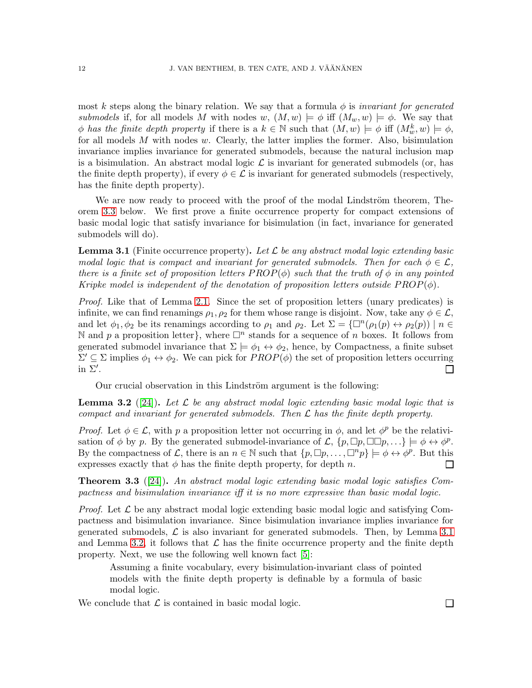most k steps along the binary relation. We say that a formula  $\phi$  is *invariant for generated* submodels if, for all models M with nodes w,  $(M, w) \models \phi$  iff  $(M_w, w) \models \phi$ . We say that  $\phi$  has the finite depth property if there is a  $k \in \mathbb{N}$  such that  $(M, w) \models \phi$  iff  $(M_w^k, w) \models \phi$ , for all models  $M$  with nodes  $w$ . Clearly, the latter implies the former. Also, bisimulation invariance implies invariance for generated submodels, because the natural inclusion map is a bisimulation. An abstract modal logic  $\mathcal L$  is invariant for generated submodels (or, has the finite depth property), if every  $\phi \in \mathcal{L}$  is invariant for generated submodels (respectively, has the finite depth property).

We are now ready to proceed with the proof of the modal Lindström theorem, Theorem [3.3](#page-11-0) below. We first prove a finite occurrence property for compact extensions of basic modal logic that satisfy invariance for bisimulation (in fact, invariance for generated submodels will do).

<span id="page-11-1"></span>**Lemma 3.1** (Finite occurrence property). Let  $\mathcal{L}$  be any abstract modal logic extending basic modal logic that is compact and invariant for generated submodels. Then for each  $\phi \in \mathcal{L}$ , there is a finite set of proposition letters  $PROP(\phi)$  such that the truth of  $\phi$  in any pointed Kripke model is independent of the denotation of proposition letters outside  $PROP(\phi)$ .

Proof. Like that of Lemma [2.1.](#page-2-0) Since the set of proposition letters (unary predicates) is infinite, we can find renamings  $\rho_1, \rho_2$  for them whose range is disjoint. Now, take any  $\phi \in \mathcal{L}$ , and let  $\phi_1, \phi_2$  be its renamings according to  $\rho_1$  and  $\rho_2$ . Let  $\Sigma = \{\Box^n(\rho_1(p) \leftrightarrow \rho_2(p)) \mid n \in \mathbb{Z}\}$ N and p a proposition letter}, where  $\Box^n$  stands for a sequence of n boxes. It follows from generated submodel invariance that  $\Sigma \models \phi_1 \leftrightarrow \phi_2$ , hence, by Compactness, a finite subset  $\Sigma' \subseteq \Sigma$  implies  $\phi_1 \leftrightarrow \phi_2$ . We can pick for  $PROP(\phi)$  the set of proposition letters occurring in  $\Sigma'$ .  $\Box$ 

Our crucial observation in this Lindström argument is the following:

<span id="page-11-2"></span>**Lemma 3.2** ([\[24\]](#page-26-2)). Let  $\mathcal{L}$  be any abstract modal logic extending basic modal logic that is compact and invariant for generated submodels. Then  $\mathcal L$  has the finite depth property.

*Proof.* Let  $\phi \in \mathcal{L}$ , with p a proposition letter not occurring in  $\phi$ , and let  $\phi^p$  be the relativisation of  $\phi$  by p. By the generated submodel-invariance of  $\mathcal{L}, \{p, \Box p, \Box \Box p, ...\} \models \phi \leftrightarrow \phi^p$ . By the compactness of  $\mathcal{L}$ , there is an  $n \in \mathbb{N}$  such that  $\{p, \Box p, \ldots, \Box^{n} p\} \models \phi \leftrightarrow \phi^{p}$ . But this expresses exactly that  $\phi$  has the finite depth property, for depth n.  $\Box$ 

<span id="page-11-0"></span>**Theorem 3.3** ([\[24\]](#page-26-2)). An abstract modal logic extending basic modal logic satisfies Compactness and bisimulation invariance iff it is no more expressive than basic modal logic.

*Proof.* Let  $\mathcal{L}$  be any abstract modal logic extending basic modal logic and satisfying Compactness and bisimulation invariance. Since bisimulation invariance implies invariance for generated submodels,  $\mathcal L$  is also invariant for generated submodels. Then, by Lemma [3.1](#page-11-1) and Lemma [3.2,](#page-11-2) it follows that  $\mathcal L$  has the finite occurrence property and the finite depth property. Next, we use the following well known fact [\[5\]](#page-26-13):

Assuming a finite vocabulary, every bisimulation-invariant class of pointed models with the finite depth property is definable by a formula of basic modal logic.

We conclude that  $\mathcal L$  is contained in basic modal logic.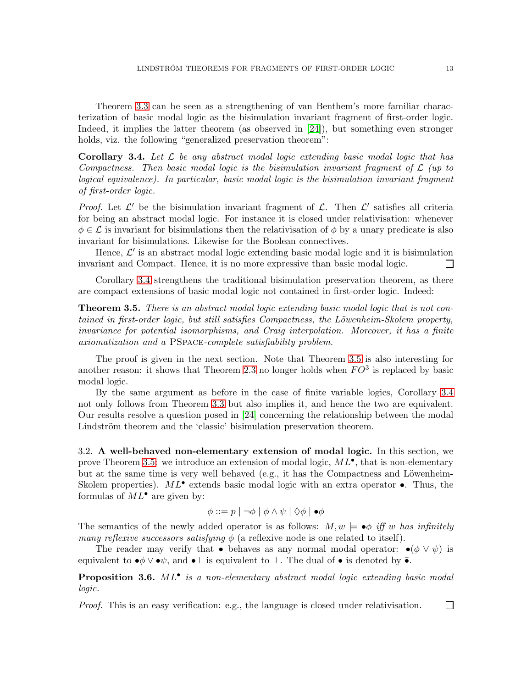Theorem [3.3](#page-11-0) can be seen as a strengthening of van Benthem's more familiar characterization of basic modal logic as the bisimulation invariant fragment of first-order logic. Indeed, it implies the latter theorem (as observed in [\[24\]](#page-26-2)), but something even stronger holds, viz. the following "generalized preservation theorem":

<span id="page-12-0"></span>**Corollary 3.4.** Let  $\mathcal{L}$  be any abstract modal logic extending basic modal logic that has Compactness. Then basic modal logic is the bisimulation invariant fragment of  $\mathcal L$  (up to logical equivalence). In particular, basic modal logic is the bisimulation invariant fragment of first-order logic.

*Proof.* Let  $\mathcal{L}'$  be the bisimulation invariant fragment of  $\mathcal{L}$ . Then  $\mathcal{L}'$  satisfies all criteria for being an abstract modal logic. For instance it is closed under relativisation: whenever  $\phi \in \mathcal{L}$  is invariant for bisimulations then the relativisation of  $\phi$  by a unary predicate is also invariant for bisimulations. Likewise for the Boolean connectives.

Hence,  $\mathcal{L}'$  is an abstract modal logic extending basic modal logic and it is bisimulation invariant and Compact. Hence, it is no more expressive than basic modal logic. П

Corollary [3.4](#page-12-0) strengthens the traditional bisimulation preservation theorem, as there are compact extensions of basic modal logic not contained in first-order logic. Indeed:

<span id="page-12-1"></span>**Theorem 3.5.** There is an abstract modal logic extending basic modal logic that is not contained in first-order logic, but still satisfies Compactness, the Löwenheim-Skolem property, invariance for potential isomorphisms, and Craig interpolation. Moreover, it has a finite axiomatization and a PSpace-complete satisfiability problem.

The proof is given in the next section. Note that Theorem [3.5](#page-12-1) is also interesting for another reason: it shows that Theorem [2.3](#page-5-0) no longer holds when  $FO^3$  is replaced by basic modal logic.

By the same argument as before in the case of finite variable logics, Corollary [3.4](#page-12-0) not only follows from Theorem [3.3](#page-11-0) but also implies it, and hence the two are equivalent. Our results resolve a question posed in [\[24\]](#page-26-2) concerning the relationship between the modal Lindström theorem and the 'classic' bisimulation preservation theorem.

3.2. A well-behaved non-elementary extension of modal logic. In this section, we prove Theorem [3.5:](#page-12-1) we introduce an extension of modal logic,  $ML^{\bullet}$ , that is non-elementary but at the same time is very well behaved (e.g., it has the Compactness and Löwenheim-Skolem properties).  $ML^{\bullet}$  extends basic modal logic with an extra operator  $\bullet$ . Thus, the formulas of  $ML^{\bullet}$  are given by:

$$
\phi ::= p \mid \neg \phi \mid \phi \land \psi \mid \Diamond \phi \mid \bullet \phi
$$

The semantics of the newly added operator is as follows:  $M, w \models \bullet \phi$  iff w has infinitely *many reflexive successors satisfying*  $\phi$  (a reflexive node is one related to itself).

The reader may verify that • behaves as any normal modal operator: • $(\phi \vee \psi)$  is equivalent to  $\bullet \phi \vee \bullet \psi$ , and  $\bullet \perp$  is equivalent to  $\perp$ . The dual of  $\bullet$  is denoted by  $\overline{\bullet}$ .

**Proposition 3.6.**  $ML^{\bullet}$  is a non-elementary abstract modal logic extending basic modal logic.

Proof. This is an easy verification: e.g., the language is closed under relativisation.  $\Box$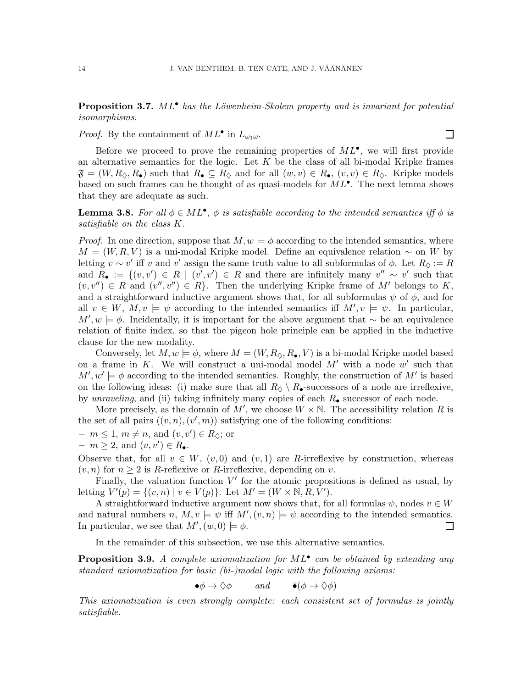## **Proposition 3.7.** ML<sup>•</sup> has the Löwenheim-Skolem property and is invariant for potential isomorphisms.

*Proof.* By the containment of  $ML^{\bullet}$  in  $L_{\omega_1\omega}$ .

Before we proceed to prove the remaining properties of  $ML^{\bullet}$ , we will first provide an alternative semantics for the logic. Let  $K$  be the class of all bi-modal Kripke frames  $\mathfrak{F} = (W, R_{\Diamond}, R_{\bullet})$  such that  $R_{\bullet} \subseteq R_{\Diamond}$  and for all  $(w, v) \in R_{\bullet}$ ,  $(v, v) \in R_{\Diamond}$ . Kripke models based on such frames can be thought of as quasi-models for  $ML^{\bullet}$ . The next lemma shows that they are adequate as such.

<span id="page-13-0"></span>**Lemma 3.8.** For all  $\phi \in ML^{\bullet}$ ,  $\phi$  is satisfiable according to the intended semantics iff  $\phi$  is satisfiable on the class K.

*Proof.* In one direction, suppose that  $M, w \models \phi$  according to the intended semantics, where  $M = (W, R, V)$  is a uni-modal Kripke model. Define an equivalence relation  $\sim$  on W by letting  $v \sim v'$  iff v and v' assign the same truth value to all subformulas of  $\phi$ . Let  $R_{\Diamond} := R$ and  $R_{\bullet} := \{(v, v') \in R \mid (v', v') \in R \text{ and there are infinitely many } v'' \sim v' \text{ such that }$  $(v, v'') \in R$  and  $(v'', v'') \in R$ . Then the underlying Kripke frame of M' belongs to K, and a straightforward inductive argument shows that, for all subformulas  $\psi$  of  $\phi$ , and for all  $v \in W$ ,  $M, v \models \psi$  according to the intended semantics iff  $M', v \models \psi$ . In particular,  $M', w \models \phi$ . Incidentally, it is important for the above argument that ∼ be an equivalence relation of finite index, so that the pigeon hole principle can be applied in the inductive clause for the new modality.

Conversely, let  $M, w \models \phi$ , where  $M = (W, R_{\Diamond}, R_{\bullet}, V)$  is a bi-modal Kripke model based on a frame in  $K$ . We will construct a uni-modal model  $M'$  with a node  $w'$  such that  $M', w' \models \phi$  according to the intended semantics. Roughly, the construction of M' is based on the following ideas: (i) make sure that all  $R_{\Diamond} \setminus R_{\bullet}$ -successors of a node are irreflexive, by unraveling, and (ii) taking infinitely many copies of each  $R_{\bullet}$  successor of each node.

More precisely, as the domain of  $M'$ , we choose  $W \times \mathbb{N}$ . The accessibility relation R is the set of all pairs  $((v, n), (v', m))$  satisfying one of the following conditions:

$$
- m \le 1, m \ne n, \text{ and } (v, v') \in R_{\lozenge}; \text{ or}
$$

$$
-m \geq 2
$$
, and  $(v, v') \in R_{\bullet}$ .

Observe that, for all  $v \in W$ ,  $(v, 0)$  and  $(v, 1)$  are R-irreflexive by construction, whereas  $(v, n)$  for  $n \geq 2$  is R-reflexive or R-irreflexive, depending on v.

Finally, the valuation function  $V'$  for the atomic propositions is defined as usual, by letting  $V'(p) = \{(v, n) | v \in V(p)\}$ . Let  $M' = (W \times \mathbb{N}, R, V')$ .

A straightforward inductive argument now shows that, for all formulas  $\psi$ , nodes  $v \in W$ and natural numbers n,  $M, v \models \psi$  iff  $M', (v, n) \models \psi$  according to the intended semantics. In particular, we see that  $M'(w,0) \models \phi$ .  $\Box$ 

In the remainder of this subsection, we use this alternative semantics.

<span id="page-13-1"></span>**Proposition 3.9.** A complete axiomatization for  $ML^{\bullet}$  can be obtained by extending any standard axiomatization for basic (bi-)modal logic with the following axioms:

$$
\bullet \phi \to \Diamond \phi \qquad \text{and} \qquad \bullet (\phi \to \Diamond \phi)
$$

This axiomatization is even strongly complete: each consistent set of formulas is jointly satisfiable.

 $\Box$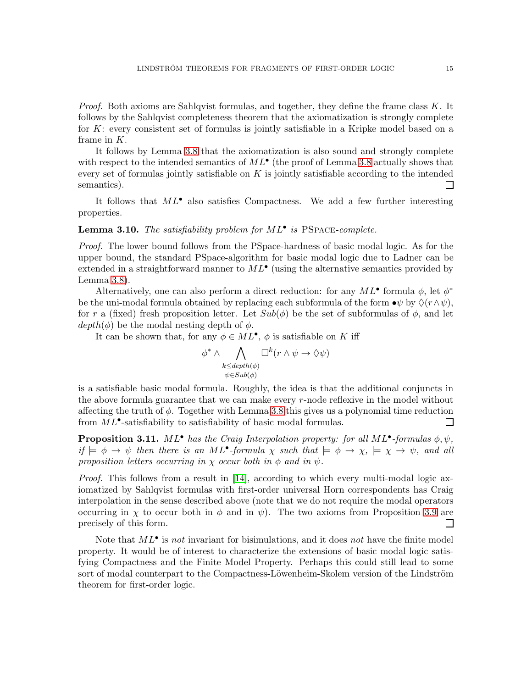*Proof.* Both axioms are Sahlqvist formulas, and together, they define the frame class  $K$ . It follows by the Sahlqvist completeness theorem that the axiomatization is strongly complete for K: every consistent set of formulas is jointly satisfiable in a Kripke model based on a frame in  $K$ .

It follows by Lemma [3.8](#page-13-0) that the axiomatization is also sound and strongly complete with respect to the intended semantics of  $ML^{\bullet}$  (the proof of Lemma [3.8](#page-13-0) actually shows that every set of formulas jointly satisfiable on  $K$  is jointly satisfiable according to the intended semantics). П

It follows that  $ML^{\bullet}$  also satisfies Compactness. We add a few further interesting properties.

# **Lemma 3.10.** The satisfiability problem for  $ML^{\bullet}$  is PSPACE-complete.

Proof. The lower bound follows from the PSpace-hardness of basic modal logic. As for the upper bound, the standard PSpace-algorithm for basic modal logic due to Ladner can be extended in a straightforward manner to  $ML^{\bullet}$  (using the alternative semantics provided by Lemma [3.8\)](#page-13-0).

Alternatively, one can also perform a direct reduction: for any  $ML^{\bullet}$  formula  $\phi$ , let  $\phi^*$ be the uni-modal formula obtained by replacing each subformula of the form  $\bullet \psi$  by  $\Diamond (r \wedge \psi)$ , for r a (fixed) fresh proposition letter. Let  $Sub(\phi)$  be the set of subformulas of  $\phi$ , and let  $depth(\phi)$  be the modal nesting depth of  $\phi$ .

It can be shown that, for any  $\phi \in ML^{\bullet}$ ,  $\phi$  is satisfiable on K iff

$$
\phi^* \wedge \bigwedge_{\substack{k \leq depth(\phi) \\ \psi \in Sub(\phi)}} \Box^k(r \wedge \psi \to \Diamond \psi)
$$

is a satisfiable basic modal formula. Roughly, the idea is that the additional conjuncts in the above formula guarantee that we can make every r-node reflexive in the model without affecting the truth of  $\phi$ . Together with Lemma [3.8](#page-13-0) this gives us a polynomial time reduction from  $ML^{\bullet}$ -satisfiability to satisfiability of basic modal formulas. П

**Proposition 3.11.**  $ML^{\bullet}$  has the Craig Interpolation property: for all  $ML^{\bullet}$ -formulas  $\phi, \psi$ , if  $\models \phi \rightarrow \psi$  then there is an ML<sup>•</sup>-formula  $\chi$  such that  $\models \phi \rightarrow \chi, \models \chi \rightarrow \psi$ , and all proposition letters occurring in  $\chi$  occur both in  $\phi$  and in  $\psi$ .

*Proof.* This follows from a result in [\[14\]](#page-26-14), according to which every multi-modal logic axiomatized by Sahlqvist formulas with first-order universal Horn correspondents has Craig interpolation in the sense described above (note that we do not require the modal operators occurring in  $\chi$  to occur both in  $\phi$  and in  $\psi$ ). The two axioms from Proposition [3.9](#page-13-1) are precisely of this form.  $\Box$ 

Note that  $ML^{\bullet}$  is not invariant for bisimulations, and it does not have the finite model property. It would be of interest to characterize the extensions of basic modal logic satisfying Compactness and the Finite Model Property. Perhaps this could still lead to some sort of modal counterpart to the Compactness-Löwenheim-Skolem version of the Lindström theorem for first-order logic.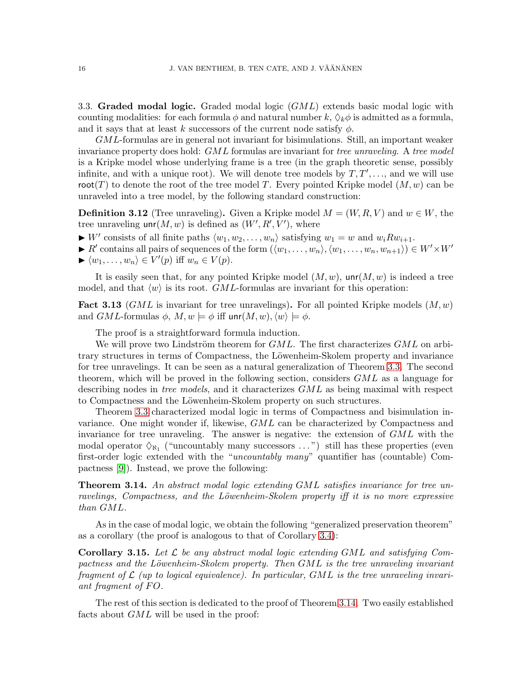<span id="page-15-1"></span>3.3. Graded modal logic. Graded modal logic  $(GML)$  extends basic modal logic with counting modalities: for each formula  $\phi$  and natural number  $k, \Diamond_k \phi$  is admitted as a formula, and it says that at least k successors of the current node satisfy  $\phi$ .

GML-formulas are in general not invariant for bisimulations. Still, an important weaker invariance property does hold:  $GML$  formulas are invariant for tree unraveling. A tree model is a Kripke model whose underlying frame is a tree (in the graph theoretic sense, possibly infinite, and with a unique root). We will denote tree models by  $T, T', \ldots$ , and we will use root(T) to denote the root of the tree model T. Every pointed Kripke model  $(M, w)$  can be unraveled into a tree model, by the following standard construction:

**Definition 3.12** (Tree unraveling). Given a Kripke model  $M = (W, R, V)$  and  $w \in W$ , the tree unraveling  $unr(M, w)$  is defined as  $(W', R', V')$ , where

- $\blacktriangleright$  W' consists of all finite paths  $\langle w_1, w_2, \ldots, w_n \rangle$  satisfying  $w_1 = w$  and  $w_i R w_{i+1}$ .
- ► R' contains all pairs of sequences of the form  $(\langle w_1, \ldots, w_n \rangle, \langle w_1, \ldots, w_n, w_{n+1} \rangle) \in W' \times W'$  $\blacktriangleright \langle w_1, \ldots, w_n \rangle \in V'(p)$  iff  $w_n \in V(p)$ .

It is easily seen that, for any pointed Kripke model  $(M, w)$ ,  $unr(M, w)$  is indeed a tree model, and that  $\langle w \rangle$  is its root. GML-formulas are invariant for this operation:

**Fact 3.13** (GML is invariant for tree unravelings). For all pointed Kripke models  $(M, w)$ and  $GML$ -formulas  $\phi$ ,  $M, w \models \phi$  iff unr $(M, w), \langle w \rangle \models \phi$ .

The proof is a straightforward formula induction.

We will prove two Lindström theorem for  $GML$ . The first characterizes  $GML$  on arbitrary structures in terms of Compactness, the Löwenheim-Skolem property and invariance for tree unravelings. It can be seen as a natural generalization of Theorem [3.3.](#page-11-0) The second theorem, which will be proved in the following section, considers GML as a language for describing nodes in *tree models*, and it characterizes GML as being maximal with respect to Compactness and the Löwenheim-Skolem property on such structures.

Theorem [3.3](#page-11-0) characterized modal logic in terms of Compactness and bisimulation invariance. One might wonder if, likewise, GML can be characterized by Compactness and invariance for tree unraveling. The answer is negative: the extension of GML with the modal operator  $\Diamond_{\aleph_1}$  ("uncountably many successors ...") still has these properties (even first-order logic extended with the "uncountably many" quantifier has (countable) Compactness [\[9\]](#page-26-15)). Instead, we prove the following:

<span id="page-15-0"></span>**Theorem 3.14.** An abstract modal logic extending GML satisfies invariance for tree unravelings, Compactness, and the Löwenheim-Skolem property iff it is no more expressive than GML.

As in the case of modal logic, we obtain the following "generalized preservation theorem" as a corollary (the proof is analogous to that of Corollary [3.4\)](#page-12-0):

**Corollary 3.15.** Let  $\mathcal{L}$  be any abstract modal logic extending GML and satisfying Compactness and the Löwenheim-Skolem property. Then  $GML$  is the tree unraveling invariant fragment of  $\mathcal L$  (up to logical equivalence). In particular, GML is the tree unraveling invariant fragment of  $FO$ .

The rest of this section is dedicated to the proof of Theorem [3.14.](#page-15-0) Two easily established facts about GML will be used in the proof: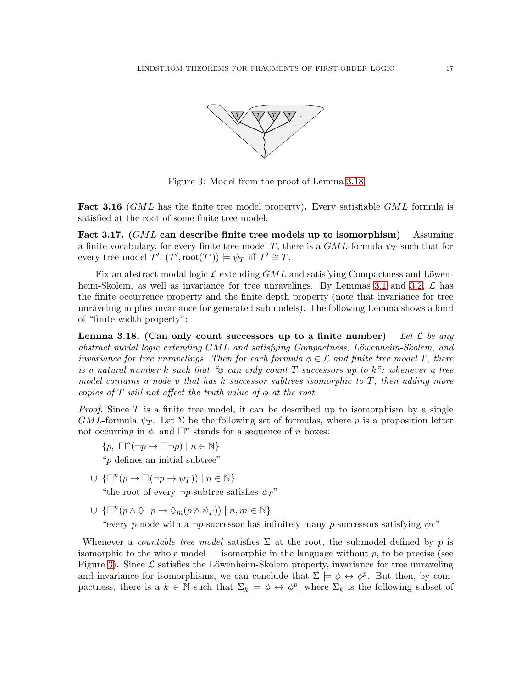

<span id="page-16-1"></span>Figure 3: Model from the proof of Lemma [3.18](#page-16-0)

<span id="page-16-2"></span>**Fact 3.16** (GML has the finite tree model property). Every satisfiable GML formula is satisfied at the root of some finite tree model.

Fact 3.17.  $(GML)$  can describe finite tree models up to isomorphism  $\sum_{n=1}^{\infty}$ a finite vocabulary, for every finite tree model T, there is a  $GML$ -formula  $\psi_T$  such that for every tree model  $T'$ ,  $(T', \text{root}(T')) \models \psi_T$  iff  $T' \cong T$ .

Fix an abstract modal logic  $\mathcal{L}$  extending  $GML$  and satisfying Compactness and Löwen-heim-Skolem, as well as invariance for tree unravelings. By Lemmas [3.1](#page-11-1) and [3.2,](#page-11-2)  $\mathcal{L}$  has the finite occurrence property and the finite depth property (note that invariance for tree unraveling implies invariance for generated submodels). The following Lemma shows a kind of "finite width property":

<span id="page-16-0"></span>Lemma 3.18. (Can only count successors up to a finite number) Let L be any  $abstraction$  modal logic extending  $GML$  and satisfying Compactness, Löwenheim-Skolem, and invariance for tree unravelings. Then for each formula  $\phi \in \mathcal{L}$  and finite tree model T, there is a natural number k such that " $\phi$  can only count T-successors up to k": whenever a tree model contains a node v that has k successor subtrees isomorphic to  $T$ , then adding more copies of T will not affect the truth value of  $\phi$  at the root.

*Proof.* Since T is a finite tree model, it can be described up to isomorphism by a single GML-formula  $\psi_T$ . Let  $\Sigma$  be the following set of formulas, where p is a proposition letter not occurring in  $\phi$ , and  $\Box^n$  stands for a sequence of n boxes:

 ${p, \Box^n(\neg p \to \Box \neg p) \mid n \in \mathbb{N}}$ "p defines an initial subtree"

- $\cup \{ \Box^n(p \to \Box(\neg p \to \psi_T)) \mid n \in \mathbb{N} \}$ "the root of every  $\neg p$ -subtree satisfies  $\psi_T$ "
- $\cup \{ \Box^n(p \land \Diamond \neg p \rightarrow \Diamond_m(p \land \psi_T)) \mid n, m \in \mathbb{N} \}$ "every p-node with a  $\neg p$ -successor has infinitely many p-successors satisfying  $\psi_T$ "

Whenever a *countable tree model* satisfies  $\Sigma$  at the root, the submodel defined by p is isomorphic to the whole model — isomorphic in the language without  $p$ , to be precise (see Figure [3\)](#page-16-1). Since  $\mathcal L$  satisfies the Löwenheim-Skolem property, invariance for tree unraveling and invariance for isomorphisms, we can conclude that  $\Sigma \models \phi \leftrightarrow \phi^p$ . But then, by compactness, there is a  $k \in \mathbb{N}$  such that  $\Sigma_k \models \phi \leftrightarrow \phi^p$ , where  $\Sigma_k$  is the following subset of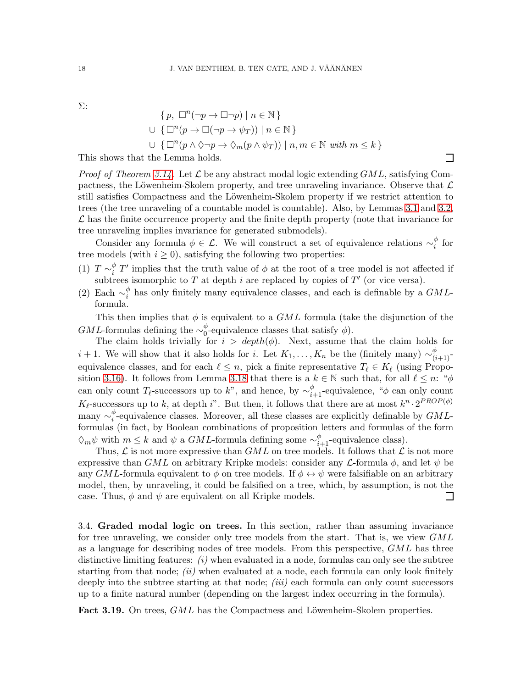Σ:

$$
\{p, \Box^{n}(\neg p \to \Box \neg p) \mid n \in \mathbb{N}\}\
$$
  

$$
\cup \{\Box^{n}(p \to \Box(\neg p \to \psi_T)) \mid n \in \mathbb{N}\}\
$$
  

$$
\cup \{\Box^{n}(p \land \Diamond \neg p \to \Diamond_m(p \land \psi_T)) \mid n, m \in \mathbb{N} \text{ with } m \leq k\}\
$$

 $\Box$ 

This shows that the Lemma holds.

*Proof of Theorem [3.14.](#page-15-0)* Let  $\mathcal{L}$  be any abstract modal logic extending  $GML$ , satisfying Compactness, the Löwenheim-Skolem property, and tree unraveling invariance. Observe that  $\mathcal L$ still satisfies Compactness and the Löwenheim-Skolem property if we restrict attention to trees (the tree unraveling of a countable model is countable). Also, by Lemmas [3.1](#page-11-1) and [3.2,](#page-11-2)  $\mathcal L$  has the finite occurrence property and the finite depth property (note that invariance for tree unraveling implies invariance for generated submodels).

Consider any formula  $\phi \in \mathcal{L}$ . We will construct a set of equivalence relations  $\sim_i^{\phi}$  $_i^{\varphi}$  for tree models (with  $i \geq 0$ ), satisfying the following two properties:

- (1)  $T \sim_i^{\phi}$  $\frac{\phi}{i}$  T' implies that the truth value of  $\phi$  at the root of a tree model is not affected if subtrees isomorphic to T at depth i are replaced by copies of  $T'$  (or vice versa).
- (2) Each  $\sim_i^{\phi}$  $\frac{\varphi}{i}$  has only finitely many equivalence classes, and each is definable by a  $GML$ formula.

This then implies that  $\phi$  is equivalent to a GML formula (take the disjunction of the  $GML$ -formulas defining the  $\sim_0^{\phi}$  $_{0}^{\varphi}$ -equivalence classes that satisfy  $\phi$ ).

The claim holds trivially for  $i > depth(\phi)$ . Next, assume that the claim holds for  $i + 1$ . We will show that it also holds for i. Let  $K_1, \ldots, K_n$  be the (finitely many)  $\sim_{(i+1)}^{\phi}$ equivalence classes, and for each  $\ell \leq n$ , pick a finite representative  $T_{\ell} \in K_{\ell}$  (using Propo-sition [3.16\)](#page-16-2). It follows from Lemma [3.18](#page-16-0) that there is a  $k \in \mathbb{N}$  such that, for all  $\ell \leq n$ : " $\phi$ can only count  $T_{\ell}$ -successors up to k", and hence, by  $\sim_{i+1}^{\phi}$ -equivalence, " $\phi$  can only count  $K_{\ell}$ -successors up to k, at depth i". But then, it follows that there are at most  $k^n \cdot 2^{PROP(\phi)}$ many  $\sim_i^{\phi}$  $\frac{\varphi}{i}$ -equivalence classes. Moreover, all these classes are explicitly definable by  $GML$ formulas (in fact, by Boolean combinations of proposition letters and formulas of the form  $\Diamond_m \psi$  with  $m \leq k$  and  $\psi$  a GML-formula defining some  $\sim_{i+1}^{\phi}$ -equivalence class).

Thus,  $\mathcal L$  is not more expressive than  $GML$  on tree models. It follows that  $\mathcal L$  is not more expressive than GML on arbitrary Kripke models: consider any  $\mathcal{L}$ -formula  $\phi$ , and let  $\psi$  be any GML-formula equivalent to  $\phi$  on tree models. If  $\phi \leftrightarrow \psi$  were falsifiable on an arbitrary model, then, by unraveling, it could be falsified on a tree, which, by assumption, is not the case. Thus,  $\phi$  and  $\psi$  are equivalent on all Kripke models.  $\Box$ 

3.4. Graded modal logic on trees. In this section, rather than assuming invariance for tree unraveling, we consider only tree models from the start. That is, we view  $GML$ as a language for describing nodes of tree models. From this perspective,  $GML$  has three distinctive limiting features:  $(i)$  when evaluated in a node, formulas can only see the subtree starting from that node;  $(ii)$  when evaluated at a node, each formula can only look finitely deeply into the subtree starting at that node;  $(iii)$  each formula can only count successors up to a finite natural number (depending on the largest index occurring in the formula).

Fact 3.19. On trees, GML has the Compactness and Löwenheim-Skolem properties.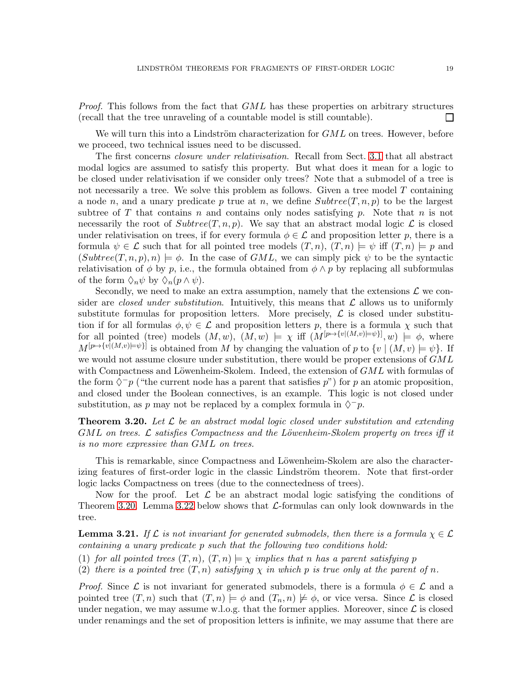*Proof.* This follows from the fact that GML has these properties on arbitrary structures (recall that the tree unraveling of a countable model is still countable).  $\Box$ 

We will turn this into a Lindström characterization for  $GML$  on trees. However, before we proceed, two technical issues need to be discussed.

The first concerns closure under relativisation. Recall from Sect. [3.1](#page-10-1) that all abstract modal logics are assumed to satisfy this property. But what does it mean for a logic to be closed under relativisation if we consider only trees? Note that a submodel of a tree is not necessarily a tree. We solve this problem as follows. Given a tree model  $T$  containing a node n, and a unary predicate p true at n, we define  $Subtree(T, n, p)$  to be the largest subtree of T that contains n and contains only nodes satisfying p. Note that n is not necessarily the root of  $Subtree(T, n, p)$ . We say that an abstract modal logic  $\mathcal L$  is closed under relativisation on trees, if for every formula  $\phi \in \mathcal{L}$  and proposition letter p, there is a formula  $\psi \in \mathcal{L}$  such that for all pointed tree models  $(T, n), (T, n) \models \psi$  iff  $(T, n) \models p$  and  $(Subtree(T, n, p), n) \models \phi$ . In the case of GML, we can simply pick  $\psi$  to be the syntactic relativisation of  $\phi$  by p, i.e., the formula obtained from  $\phi \wedge p$  by replacing all subformulas of the form  $\Diamond_n \psi$  by  $\Diamond_n (p \wedge \psi)$ .

Secondly, we need to make an extra assumption, namely that the extensions  $\mathcal L$  we consider are closed under substitution. Intuitively, this means that  $\mathcal L$  allows us to uniformly substitute formulas for proposition letters. More precisely,  $\mathcal L$  is closed under substitution if for all formulas  $\phi, \psi \in \mathcal{L}$  and proposition letters p, there is a formula  $\chi$  such that for all pointed (tree) models  $(M, w)$ ,  $(M, w) \models \chi$  iff  $(M^{[p \mapsto \{v \mid (M, v) \models \psi\}]}, w) \models \phi$ , where  $M^{[p\mapsto \{v|(M,v)\models \psi\}}$  is obtained from M by changing the valuation of p to  $\{v \mid (M,v)\models \psi\}$ . If we would not assume closure under substitution, there would be proper extensions of  $GML$ with Compactness and Löwenheim-Skolem. Indeed, the extension of  $GML$  with formulas of the form  $\Diamond^{-}p$  ("the current node has a parent that satisfies p") for p an atomic proposition, and closed under the Boolean connectives, is an example. This logic is not closed under substitution, as p may not be replaced by a complex formula in  $\Diamond^{-}p$ .

<span id="page-18-0"></span>**Theorem 3.20.** Let  $\mathcal{L}$  be an abstract modal logic closed under substitution and extending GML on trees. L satisfies Compactness and the Löwenheim-Skolem property on trees iff it is no more expressive than GML on trees.

This is remarkable, since Compactness and Löwenheim-Skolem are also the characterizing features of first-order logic in the classic Lindström theorem. Note that first-order logic lacks Compactness on trees (due to the connectedness of trees).

Now for the proof. Let  $\mathcal L$  be an abstract modal logic satisfying the conditions of Theorem [3.20.](#page-18-0) Lemma [3.22](#page-19-0) below shows that  $\mathcal{L}$ -formulas can only look downwards in the tree.

<span id="page-18-1"></span>**Lemma 3.21.** If  $\mathcal{L}$  is not invariant for generated submodels, then there is a formula  $\chi \in \mathcal{L}$ containing a unary predicate p such that the following two conditions hold:

(1) for all pointed trees  $(T, n)$ ,  $(T, n) \models \chi$  implies that n has a parent satisfying p

(2) there is a pointed tree  $(T, n)$  satisfying  $\chi$  in which p is true only at the parent of n.

*Proof.* Since  $\mathcal L$  is not invariant for generated submodels, there is a formula  $\phi \in \mathcal L$  and a pointed tree  $(T, n)$  such that  $(T, n) \models \phi$  and  $(T_n, n) \not\models \phi$ , or vice versa. Since  $\mathcal L$  is closed under negation, we may assume w.l.o.g. that the former applies. Moreover, since  $\mathcal L$  is closed under renamings and the set of proposition letters is infinite, we may assume that there are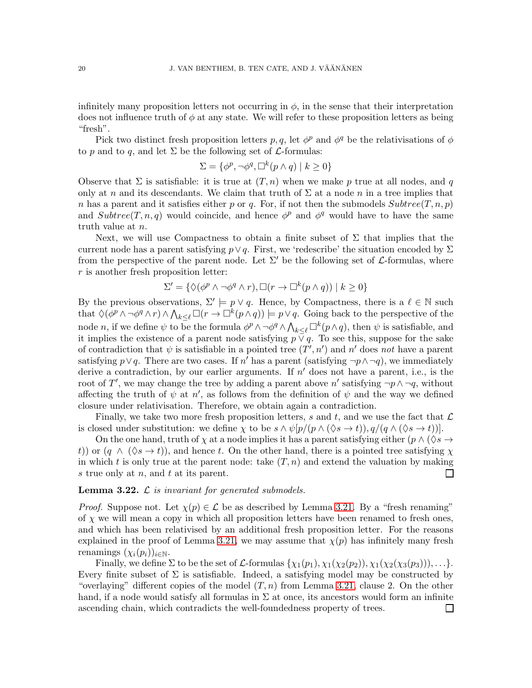infinitely many proposition letters not occurring in  $\phi$ , in the sense that their interpretation does not influence truth of  $\phi$  at any state. We will refer to these proposition letters as being "fresh".

Pick two distinct fresh proposition letters p, q, let  $\phi^p$  and  $\phi^q$  be the relativisations of  $\phi$ to p and to q, and let  $\Sigma$  be the following set of  $\mathcal L$ -formulas:

$$
\Sigma = \{ \phi^p, \neg \phi^q, \Box^k(p \land q) \mid k \ge 0 \}
$$

Observe that  $\Sigma$  is satisfiable: it is true at  $(T, n)$  when we make p true at all nodes, and q only at n and its descendants. We claim that truth of  $\Sigma$  at a node n in a tree implies that n has a parent and it satisfies either p or q. For, if not then the submodels  $Subtree(T, n, p)$ and  $Subtree(T, n, q)$  would coincide, and hence  $\phi^p$  and  $\phi^q$  would have to have the same truth value at n.

Next, we will use Compactness to obtain a finite subset of  $\Sigma$  that implies that the current node has a parent satisfying  $p \vee q$ . First, we 'redescribe' the situation encoded by  $\Sigma$ from the perspective of the parent node. Let  $\Sigma'$  be the following set of  $\mathcal{L}$ -formulas, where  $r$  is another fresh proposition letter:

$$
\Sigma' = \{ \Diamond(\phi^p \land \neg \phi^q \land r), \Box(r \to \Box^k(p \land q)) \mid k \ge 0 \}
$$

By the previous observations,  $\Sigma' \models p \lor q$ . Hence, by Compactness, there is a  $\ell \in \mathbb{N}$  such that  $\Diamond(\phi^p \land \neg \phi^q \land r) \land \bigwedge_{k \leq \ell} \Box(r \to \Box^k(p \land q)) \models p \lor q$ . Going back to the perspective of the node *n*, if we define  $\psi$  to be the formula  $\phi^p \wedge \neg \phi^q \wedge \bigwedge_{k \leq \ell} \Box^k(p \wedge q)$ , then  $\psi$  is satisfiable, and it implies the existence of a parent node satisfying  $p \nabla q$ . To see this, suppose for the sake of contradiction that  $\psi$  is satisfiable in a pointed tree  $(T', n')$  and  $n'$  does not have a parent satisfying  $p \lor q$ . There are two cases. If n' has a parent (satisfying  $\neg p \land \neg q$ ), we immediately derive a contradiction, by our earlier arguments. If  $n'$  does not have a parent, i.e., is the root of T', we may change the tree by adding a parent above n' satisfying  $\neg p \wedge \neg q$ , without affecting the truth of  $\psi$  at n', as follows from the definition of  $\psi$  and the way we defined closure under relativisation. Therefore, we obtain again a contradiction.

Finally, we take two more fresh proposition letters, s and t, and we use the fact that  $\mathcal L$ is closed under substitution: we define  $\chi$  to be  $s \wedge \psi[p/(p \wedge (\Diamond s \to t)), q/(q \wedge (\Diamond s \to t))].$ 

On the one hand, truth of  $\chi$  at a node implies it has a parent satisfying either ( $p \wedge (\Diamond s \rightarrow \Diamond s)$ t)) or  $(q \wedge (\Diamond s \rightarrow t))$ , and hence t. On the other hand, there is a pointed tree satisfying  $\chi$ in which t is only true at the parent node: take  $(T, n)$  and extend the valuation by making s true only at  $n$ , and  $t$  at its parent.  $\Box$ 

### <span id="page-19-0"></span>**Lemma 3.22.**  $\mathcal{L}$  is invariant for generated submodels.

*Proof.* Suppose not. Let  $\chi(p) \in \mathcal{L}$  be as described by Lemma [3.21.](#page-18-1) By a "fresh renaming" of  $\chi$  we will mean a copy in which all proposition letters have been renamed to fresh ones, and which has been relativised by an additional fresh proposition letter. For the reasons explained in the proof of Lemma [3.21,](#page-18-1) we may assume that  $\chi(p)$  has infinitely many fresh renamings  $(\chi_i(p_i))_{i\in\mathbb{N}}$ .

Finally, we define  $\Sigma$  to be the set of  $\mathcal{L}$ -formulas  $\{\chi_1(p_1), \chi_1(\chi_2(p_2)), \chi_1(\chi_2(\chi_3(p_3))), \ldots\}.$ Every finite subset of  $\Sigma$  is satisfiable. Indeed, a satisfying model may be constructed by "overlaying" different copies of the model  $(T, n)$  from Lemma [3.21,](#page-18-1) clause 2. On the other hand, if a node would satisfy all formulas in  $\Sigma$  at once, its ancestors would form an infinite ascending chain, which contradicts the well-foundedness property of trees. $\Box$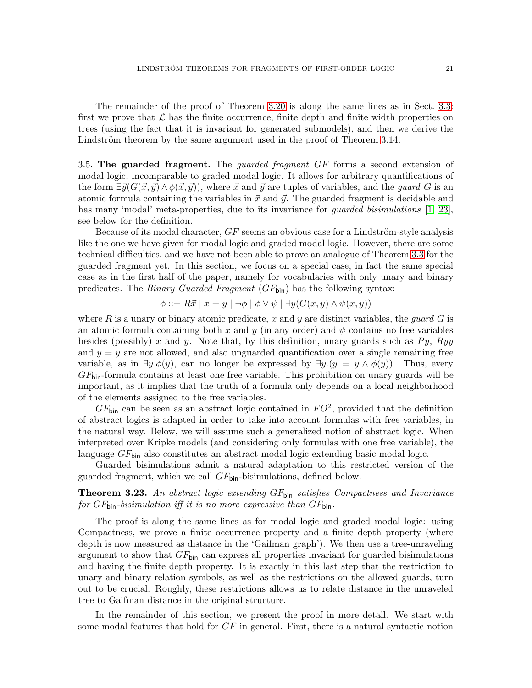The remainder of the proof of Theorem [3.20](#page-18-0) is along the same lines as in Sect. [3.3:](#page-15-1) first we prove that  $\mathcal L$  has the finite occurrence, finite depth and finite width properties on trees (using the fact that it is invariant for generated submodels), and then we derive the Lindström theorem by the same argument used in the proof of Theorem [3.14.](#page-15-0)

3.5. The guarded fragment. The *quarded fragment GF* forms a second extension of modal logic, incomparable to graded modal logic. It allows for arbitrary quantifications of the form  $\exists \vec{y}(G(\vec{x}, \vec{y}) \wedge \phi(\vec{x}, \vec{y}))$ , where  $\vec{x}$  and  $\vec{y}$  are tuples of variables, and the *quard G* is an atomic formula containing the variables in  $\vec{x}$  and  $\vec{y}$ . The guarded fragment is decidable and has many 'modal' meta-properties, due to its invariance for *guarded bisimulations* [\[1,](#page-26-11) [23\]](#page-26-16), see below for the definition.

Because of its modal character,  $GF$  seems an obvious case for a Lindström-style analysis like the one we have given for modal logic and graded modal logic. However, there are some technical difficulties, and we have not been able to prove an analogue of Theorem [3.3](#page-11-0) for the guarded fragment yet. In this section, we focus on a special case, in fact the same special case as in the first half of the paper, namely for vocabularies with only unary and binary predicates. The *Binary Guarded Fragment*  $(GF_{\text{bin}})$  has the following syntax:

$$
\phi ::= R\vec{x} \mid x = y \mid \neg \phi \mid \phi \lor \psi \mid \exists y (G(x, y) \land \psi(x, y))
$$

where R is a unary or binary atomic predicate, x and y are distinct variables, the *guard* G is an atomic formula containing both x and y (in any order) and  $\psi$  contains no free variables besides (possibly) x and y. Note that, by this definition, unary guards such as  $Py$ ,  $Ryy$ and  $y = y$  are not allowed, and also unguarded quantification over a single remaining free variable, as in  $\exists y.\phi(y)$ , can no longer be expressed by  $\exists y.(y = y \land \phi(y))$ . Thus, every  $GF_{\text{bin}}$ -formula contains at least one free variable. This prohibition on unary guards will be important, as it implies that the truth of a formula only depends on a local neighborhood of the elements assigned to the free variables.

 $GF_{\text{bin}}$  can be seen as an abstract logic contained in  $FO^2$ , provided that the definition of abstract logics is adapted in order to take into account formulas with free variables, in the natural way. Below, we will assume such a generalized notion of abstract logic. When interpreted over Kripke models (and considering only formulas with one free variable), the language  $GF_{\text{bin}}$  also constitutes an abstract modal logic extending basic modal logic.

Guarded bisimulations admit a natural adaptation to this restricted version of the guarded fragment, which we call  $GF_{\text{bin}}$ -bisimulations, defined below.

<span id="page-20-0"></span>Theorem 3.23. An abstract logic extending GFbin satisfies Compactness and Invariance for  $GF_{\text{bin}}$ -bisimulation iff it is no more expressive than  $GF_{\text{bin}}$ .

The proof is along the same lines as for modal logic and graded modal logic: using Compactness, we prove a finite occurrence property and a finite depth property (where depth is now measured as distance in the 'Gaifman graph'). We then use a tree-unraveling argument to show that  $GF_{\text{bin}}$  can express all properties invariant for guarded bisimulations and having the finite depth property. It is exactly in this last step that the restriction to unary and binary relation symbols, as well as the restrictions on the allowed guards, turn out to be crucial. Roughly, these restrictions allows us to relate distance in the unraveled tree to Gaifman distance in the original structure.

In the remainder of this section, we present the proof in more detail. We start with some modal features that hold for  $GF$  in general. First, there is a natural syntactic notion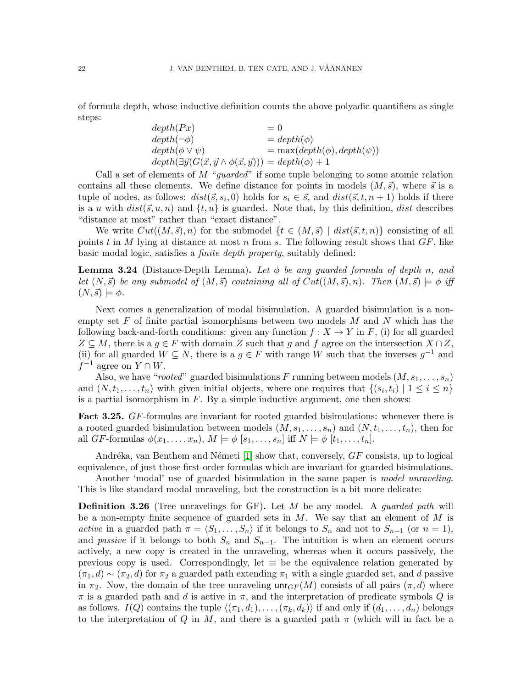of formula depth, whose inductive definition counts the above polyadic quantifiers as single steps:

| depth(Px)                                                                                   | $= 0$                             |
|---------------------------------------------------------------------------------------------|-----------------------------------|
| $depth(\neg \phi)$                                                                          | $= depth(\phi)$                   |
| $depth(\phi \vee \psi)$                                                                     | $= max(depth(\phi), depth(\psi))$ |
| $depth(\exists \vec{y}(G(\vec{x}, \vec{y} \land \phi(\vec{x}, \vec{y}))) = depth(\phi) + 1$ |                                   |

Call a set of elements of  $M$  "quarded" if some tuple belonging to some atomic relation contains all these elements. We define distance for points in models  $(M, \vec{s})$ , where  $\vec{s}$  is a tuple of nodes, as follows:  $dist(\vec{s}, s_i, 0)$  holds for  $s_i \in \vec{s}$ , and  $dist(\vec{s}, t, n + 1)$  holds if there is a u with  $dist(\vec{s}, u, n)$  and  $\{t, u\}$  is guarded. Note that, by this definition, dist describes "distance at most" rather than "exact distance".

We write  $Cut((M, \vec{s}), n)$  for the submodel  $\{t \in (M, \vec{s}) \mid dist(\vec{s}, t, n)\}\)$  consisting of all points t in M lying at distance at most n from s. The following result shows that  $GF$ , like basic modal logic, satisfies a finite depth property, suitably defined:

**Lemma 3.24** (Distance-Depth Lemma). Let  $\phi$  be any quarded formula of depth n, and let  $(N, \vec{s})$  be any submodel of  $(M, \vec{s})$  containing all of  $Cut((M, \vec{s}), n)$ . Then  $(M, \vec{s}) \models \phi$  iff  $(N, \vec{s}) \models \phi.$ 

Next comes a generalization of modal bisimulation. A guarded bisimulation is a nonempty set F of finite partial isomorphisms between two models  $M$  and  $N$  which has the following back-and-forth conditions: given any function  $f : X \to Y$  in F, (i) for all guarded  $Z \subseteq M$ , there is a  $g \in F$  with domain Z such that g and f agree on the intersection  $X \cap Z$ , (ii) for all guarded  $W \subseteq N$ , there is a  $g \in F$  with range W such that the inverses  $g^{-1}$  and  $f^{-1}$  agree on  $Y \cap W$ .

Also, we have "rooted" guarded bisimulations F running between models  $(M, s_1, \ldots, s_n)$ and  $(N, t_1, \ldots, t_n)$  with given initial objects, where one requires that  $\{(s_i, t_i) \mid 1 \leq i \leq n\}$ is a partial isomorphism in  $F$ . By a simple inductive argument, one then shows:

**Fact 3.25.** GF-formulas are invariant for rooted guarded bisimulations: whenever there is a rooted guarded bisimulation between models  $(M, s_1, \ldots, s_n)$  and  $(N, t_1, \ldots, t_n)$ , then for all GF-formulas  $\phi(x_1, \ldots, x_n)$ ,  $M \models \phi$   $[s_1, \ldots, s_n]$  iff  $N \models \phi$   $[t_1, \ldots, t_n]$ .

Andréka, van Benthem and Németi  $[1]$  show that, conversely,  $GF$  consists, up to logical equivalence, of just those first-order formulas which are invariant for guarded bisimulations.

Another 'modal' use of guarded bisimulation in the same paper is *model unraveling*. This is like standard modal unraveling, but the construction is a bit more delicate:

**Definition 3.26** (Tree unravelings for GF). Let M be any model. A *guarded path* will be a non-empty finite sequence of guarded sets in  $M$ . We say that an element of  $M$  is active in a guarded path  $\pi = \langle S_1, \ldots, S_n \rangle$  if it belongs to  $S_n$  and not to  $S_{n-1}$  (or  $n = 1$ ), and *passive* if it belongs to both  $S_n$  and  $S_{n-1}$ . The intuition is when an element occurs actively, a new copy is created in the unraveling, whereas when it occurs passively, the previous copy is used. Correspondingly, let  $\equiv$  be the equivalence relation generated by  $(\pi_1, d) \sim (\pi_2, d)$  for  $\pi_2$  a guarded path extending  $\pi_1$  with a single guarded set, and d passive in  $\pi_2$ . Now, the domain of the tree unraveling  $\mathsf{unr}_{GF}(M)$  consists of all pairs  $(\pi, d)$  where  $\pi$  is a guarded path and d is active in  $\pi$ , and the interpretation of predicate symbols Q is as follows.  $I(Q)$  contains the tuple  $\langle (\pi_1, d_1), \ldots, (\pi_k, d_k) \rangle$  if and only if  $(d_1, \ldots, d_n)$  belongs to the interpretation of Q in M, and there is a guarded path  $\pi$  (which will in fact be a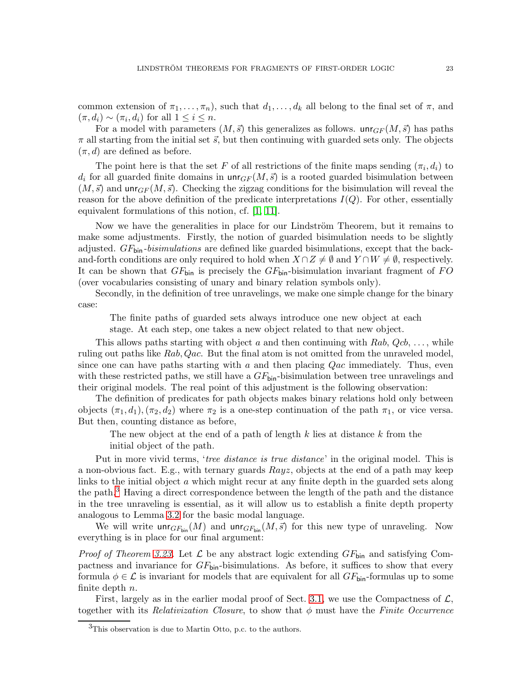common extension of  $\pi_1, \ldots, \pi_n$ , such that  $d_1, \ldots, d_k$  all belong to the final set of  $\pi$ , and  $(\pi, d_i) \sim (\pi_i, d_i)$  for all  $1 \leq i \leq n$ .

For a model with parameters  $(M, \vec{s})$  this generalizes as follows.  $unr_{GF}(M, \vec{s})$  has paths  $\pi$  all starting from the initial set  $\vec{s}$ , but then continuing with guarded sets only. The objects  $(\pi, d)$  are defined as before.

The point here is that the set F of all restrictions of the finite maps sending  $(\pi_i, d_i)$  to  $d_i$  for all guarded finite domains in  $\mathsf{unr}_{GF}(M, \vec{s})$  is a rooted guarded bisimulation between  $(M, \vec{s})$  and unr<sub>GF</sub>  $(M, \vec{s})$ . Checking the zigzag conditions for the bisimulation will reveal the reason for the above definition of the predicate interpretations  $I(Q)$ . For other, essentially equivalent formulations of this notion, cf. [\[1,](#page-26-11) [11\]](#page-26-17).

Now we have the generalities in place for our Lindström Theorem, but it remains to make some adjustments. Firstly, the notion of guarded bisimulation needs to be slightly adjusted.  $GF_{\text{bin}}-bisimulations$  are defined like guarded bisimulations, except that the backand-forth conditions are only required to hold when  $X \cap Z \neq \emptyset$  and  $Y \cap W \neq \emptyset$ , respectively. It can be shown that  $GF_{\text{bin}}$  is precisely the  $GF_{\text{bin}}$ -bisimulation invariant fragment of FO (over vocabularies consisting of unary and binary relation symbols only).

Secondly, in the definition of tree unravelings, we make one simple change for the binary case:

The finite paths of guarded sets always introduce one new object at each

stage. At each step, one takes a new object related to that new object.

This allows paths starting with object a and then continuing with  $Rab$ ,  $Qcb$ , ..., while ruling out paths like Rab, Qac. But the final atom is not omitted from the unraveled model, since one can have paths starting with a and then placing  $Qac$  immediately. Thus, even with these restricted paths, we still have a  $GF_{\text{bin}}$ -bisimulation between tree unravelings and their original models. The real point of this adjustment is the following observation:

The definition of predicates for path objects makes binary relations hold only between objects  $(\pi_1, d_1), (\pi_2, d_2)$  where  $\pi_2$  is a one-step continuation of the path  $\pi_1$ , or vice versa. But then, counting distance as before,

The new object at the end of a path of length  $k$  lies at distance  $k$  from the initial object of the path.

Put in more vivid terms, 'tree distance is true distance' in the original model. This is a non-obvious fact. E.g., with ternary guards  $Rayz$ , objects at the end of a path may keep links to the initial object a which might recur at any finite depth in the guarded sets along the path.<sup>[3](#page-22-0)</sup> Having a direct correspondence between the length of the path and the distance in the tree unraveling is essential, as it will allow us to establish a finite depth property analogous to Lemma [3.2](#page-11-2) for the basic modal language.

We will write  $\text{unr}_{GF_{\text{bin}}}(M)$  and  $\text{unr}_{GF_{\text{bin}}}(M, \vec{s})$  for this new type of unraveling. Now everything is in place for our final argument:

*Proof of Theorem [3.23.](#page-20-0)* Let  $\mathcal{L}$  be any abstract logic extending  $GF_{\text{bin}}$  and satisfying Compactness and invariance for  $GF_{\text{bin}}$ -bisimulations. As before, it suffices to show that every formula  $\phi \in \mathcal{L}$  is invariant for models that are equivalent for all  $GF_{\text{bin}}$ -formulas up to some finite depth  $n$ .

First, largely as in the earlier modal proof of Sect. [3.1,](#page-10-1) we use the Compactness of  $\mathcal{L}$ , together with its Relativization Closure, to show that  $\phi$  must have the Finite Occurrence

<span id="page-22-0"></span> ${}^{3}$ This observation is due to Martin Otto, p.c. to the authors.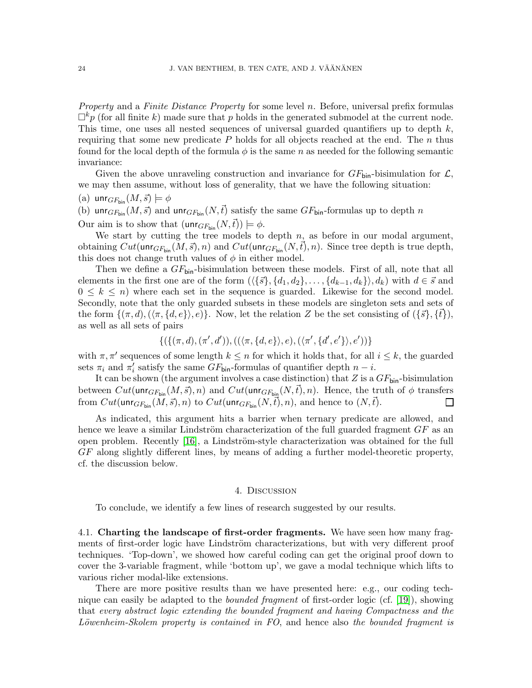Property and a Finite Distance Property for some level n. Before, universal prefix formulas  $\Box^k p$  (for all finite k) made sure that p holds in the generated submodel at the current node. This time, one uses all nested sequences of universal guarded quantifiers up to depth  $k$ , requiring that some new predicate  $P$  holds for all objects reached at the end. The n thus found for the local depth of the formula  $\phi$  is the same n as needed for the following semantic invariance:

Given the above unraveling construction and invariance for  $GF_{\text{bin}}$ -bisimulation for  $\mathcal{L}$ , we may then assume, without loss of generality, that we have the following situation:

(a) unr $_{GF_{\text{bin}}}(M, \vec{s}) \models \phi$ 

(b) unr<sub>GFbin</sub>  $(M, \vec{s})$  and unr<sub>GFbin</sub>  $(N, \vec{t})$  satisfy the same GF<sub>bin</sub>-formulas up to depth n

Our aim is to show that  $(\text{unr}_{GF_{\text{bin}}}(N,\vec{t})) \models \phi$ .

We start by cutting the tree models to depth  $n$ , as before in our modal argument, obtaining  $Cut(\text{unr}_{GF_{\text{bin}}}(M, \vec{s}), n)$  and  $Cut(\text{unr}_{GF_{\text{bin}}}(N, \vec{t}), n)$ . Since tree depth is true depth, this does not change truth values of  $\phi$  in either model.

Then we define a  $GF_{\text{bin}}$ -bisimulation between these models. First of all, note that all elements in the first one are of the form  $(\langle {\{\vec{s}\}, \{d_1, d_2\}, \ldots, \{d_{k-1}, d_k\}\rangle, d_k})$  with  $d \in \vec{s}$  and  $0 \leq k \leq n$ ) where each set in the sequence is guarded. Likewise for the second model. Secondly, note that the only guarded subsets in these models are singleton sets and sets of the form  $\{(\pi, d), (\langle \pi, \{d, e\} \rangle, e)\}.$  Now, let the relation Z be the set consisting of  $(\{\vec{s}\}, \{\vec{t}\}),$ as well as all sets of pairs

$$
\{(\{(\pi,d),(\pi',d')),((\langle \pi,\{d,e\}\rangle,e),(\langle \pi',\{d',e'\}\rangle,e'))\}
$$

with  $\pi, \pi'$  sequences of some length  $k \leq n$  for which it holds that, for all  $i \leq k$ , the guarded sets  $\pi_i$  and  $\pi'_i$  satisfy the same  $GF_{\text{bin}}$ -formulas of quantifier depth  $n - i$ .

It can be shown (the argument involves a case distinction) that Z is a  $GF_{\text{bin}}$ -bisimulation between  $Cut(\text{unr}_{GF_{\text{bin}}}(M,\vec{s}), n)$  and  $Cut(\text{unr}_{GF_{\text{bin}}}(N,\vec{t}), n)$ . Hence, the truth of  $\phi$  transfers from  $Cut(\text{unr}_{GF_{\text{bin}}}(M,\vec{s}), n)$  to  $Cut(\text{unr}_{GF_{\text{bin}}}(N,\vec{t}), n)$ , and hence to  $(N,\vec{t})$ .  $\Box$ 

As indicated, this argument hits a barrier when ternary predicate are allowed, and hence we leave a similar Lindström characterization of the full guarded fragment  $GF$  as an open problem. Recently  $[16]$ , a Lindström-style characterization was obtained for the full GF along slightly different lines, by means of adding a further model-theoretic property, cf. the discussion below.

#### 4. Discussion

To conclude, we identify a few lines of research suggested by our results.

4.1. Charting the landscape of first-order fragments. We have seen how many fragments of first-order logic have Lindström characterizations, but with very different proof techniques. 'Top-down', we showed how careful coding can get the original proof down to cover the 3-variable fragment, while 'bottom up', we gave a modal technique which lifts to various richer modal-like extensions.

There are more positive results than we have presented here: e.g., our coding technique can easily be adapted to the *bounded fragment* of first-order logic (cf. [\[19\]](#page-26-19)), showing that every abstract logic extending the bounded fragment and having Compactness and the Löwenheim-Skolem property is contained in  $FO$ , and hence also the bounded fragment is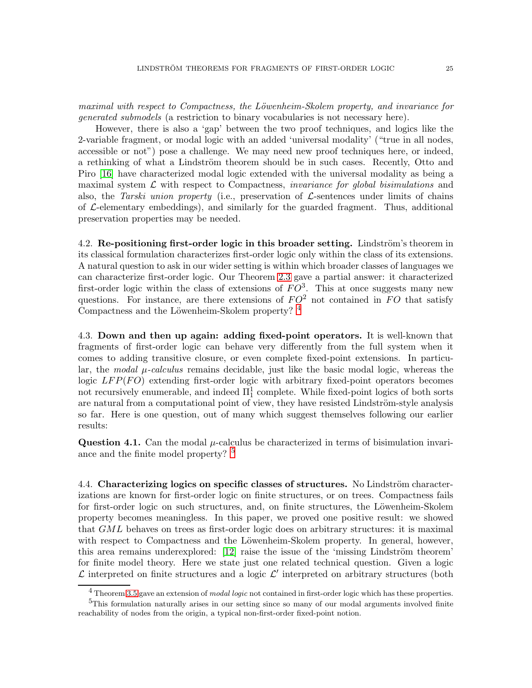maximal with respect to Compactness, the Löwenheim-Skolem property, and invariance for generated submodels (a restriction to binary vocabularies is not necessary here).

However, there is also a 'gap' between the two proof techniques, and logics like the 2-variable fragment, or modal logic with an added 'universal modality' ("true in all nodes, accessible or not") pose a challenge. We may need new proof techniques here, or indeed, a rethinking of what a Lindström theorem should be in such cases. Recently, Otto and Piro [\[16\]](#page-26-18) have characterized modal logic extended with the universal modality as being a maximal system  $\mathcal L$  with respect to Compactness, *invariance for global bisimulations* and also, the Tarski union property (i.e., preservation of  $\mathcal{L}$ -sentences under limits of chains of  $\mathcal{L}\text{-elementary embeddings}$ , and similarly for the guarded fragment. Thus, additional preservation properties may be needed.

4.2. Re-positioning first-order logic in this broader setting. Lindström's theorem in its classical formulation characterizes first-order logic only within the class of its extensions. A natural question to ask in our wider setting is within which broader classes of languages we can characterize first-order logic. Our Theorem [2.3](#page-5-0) gave a partial answer: it characterized first-order logic within the class of extensions of  $FO^3$ . This at once suggests many new questions. For instance, are there extensions of  $FO^2$  not contained in FO that satisfy Compactness and the Löwenheim-Skolem property?  $^4$  $^4$ 

4.3. Down and then up again: adding fixed-point operators. It is well-known that fragments of first-order logic can behave very differently from the full system when it comes to adding transitive closure, or even complete fixed-point extensions. In particular, the *modal*  $\mu$ -calculus remains decidable, just like the basic modal logic, whereas the logic  $LFP(FO)$  extending first-order logic with arbitrary fixed-point operators becomes not recursively enumerable, and indeed  $\Pi^1_1$  complete. While fixed-point logics of both sorts are natural from a computational point of view, they have resisted Lindström-style analysis so far. Here is one question, out of many which suggest themselves following our earlier results:

Question 4.1. Can the modal  $\mu$ -calculus be characterized in terms of bisimulation invari-ance and the finite model property? <sup>[5](#page-24-1)</sup>

4.4. Characterizing logics on specific classes of structures. No Lindström characterizations are known for first-order logic on finite structures, or on trees. Compactness fails for first-order logic on such structures, and, on finite structures, the Löwenheim-Skolem property becomes meaningless. In this paper, we proved one positive result: we showed that GML behaves on trees as first-order logic does on arbitrary structures: it is maximal with respect to Compactness and the Löwenheim-Skolem property. In general, however, this area remains underexplored:  $[12]$  raise the issue of the 'missing Lindström theorem' for finite model theory. Here we state just one related technical question. Given a logic  $\mathcal L$  interpreted on finite structures and a logic  $\mathcal L'$  interpreted on arbitrary structures (both

<span id="page-24-0"></span><sup>4</sup> Theorem [3.5](#page-12-1) gave an extension of *modal logic* not contained in first-order logic which has these properties. <sup>5</sup>This formulation naturally arises in our setting since so many of our modal arguments involved finite

<span id="page-24-1"></span>reachability of nodes from the origin, a typical non-first-order fixed-point notion.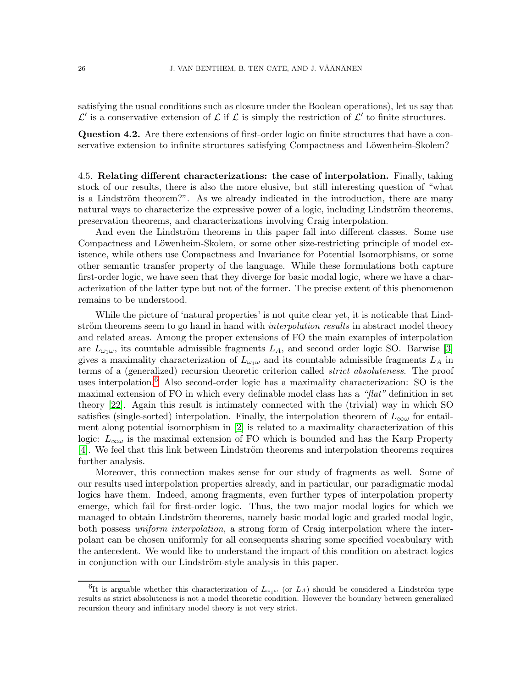satisfying the usual conditions such as closure under the Boolean operations), let us say that  $\mathcal{L}'$  is a conservative extension of  $\mathcal{L}$  if  $\mathcal{L}$  is simply the restriction of  $\mathcal{L}'$  to finite structures.

Question 4.2. Are there extensions of first-order logic on finite structures that have a conservative extension to infinite structures satisfying Compactness and Löwenheim-Skolem?

4.5. Relating different characterizations: the case of interpolation. Finally, taking stock of our results, there is also the more elusive, but still interesting question of "what is a Lindström theorem?". As we already indicated in the introduction, there are many natural ways to characterize the expressive power of a logic, including Lindström theorems, preservation theorems, and characterizations involving Craig interpolation.

And even the Lindström theorems in this paper fall into different classes. Some use Compactness and Löwenheim-Skolem, or some other size-restricting principle of model existence, while others use Compactness and Invariance for Potential Isomorphisms, or some other semantic transfer property of the language. While these formulations both capture first-order logic, we have seen that they diverge for basic modal logic, where we have a characterization of the latter type but not of the former. The precise extent of this phenomenon remains to be understood.

While the picture of 'natural properties' is not quite clear yet, it is noticable that Lindström theorems seem to go hand in hand with *interpolation results* in abstract model theory and related areas. Among the proper extensions of FO the main examples of interpolation are  $L_{\omega_1\omega}$ , its countable admissible fragments  $L_A$ , and second order logic SO. Barwise [\[3\]](#page-26-21) gives a maximality characterization of  $L_{\omega_1\omega}$  and its countable admissible fragments  $L_A$  in terms of a (generalized) recursion theoretic criterion called strict absoluteness. The proof uses interpolation.<sup>[6](#page-25-0)</sup> Also second-order logic has a maximality characterization: SO is the maximal extension of FO in which every definable model class has a " $flat$ " definition in set theory [\[22\]](#page-26-22). Again this result is intimately connected with the (trivial) way in which SO satisfies (single-sorted) interpolation. Finally, the interpolation theorem of  $L_{\infty\omega}$  for entailment along potential isomorphism in [\[2\]](#page-26-23) is related to a maximality characterization of this logic:  $L_{\infty\omega}$  is the maximal extension of FO which is bounded and has the Karp Property [\[4\]](#page-26-24). We feel that this link between Lindström theorems and interpolation theorems requires further analysis.

Moreover, this connection makes sense for our study of fragments as well. Some of our results used interpolation properties already, and in particular, our paradigmatic modal logics have them. Indeed, among fragments, even further types of interpolation property emerge, which fail for first-order logic. Thus, the two major modal logics for which we managed to obtain Lindström theorems, namely basic modal logic and graded modal logic, both possess *uniform interpolation*, a strong form of Craig interpolation where the interpolant can be chosen uniformly for all consequents sharing some specified vocabulary with the antecedent. We would like to understand the impact of this condition on abstract logics in conjunction with our Lindström-style analysis in this paper.

<span id="page-25-0"></span><sup>&</sup>lt;sup>6</sup>It is arguable whether this characterization of  $L_{\omega_1\omega}$  (or  $L_A$ ) should be considered a Lindström type results as strict absoluteness is not a model theoretic condition. However the boundary between generalized recursion theory and infinitary model theory is not very strict.